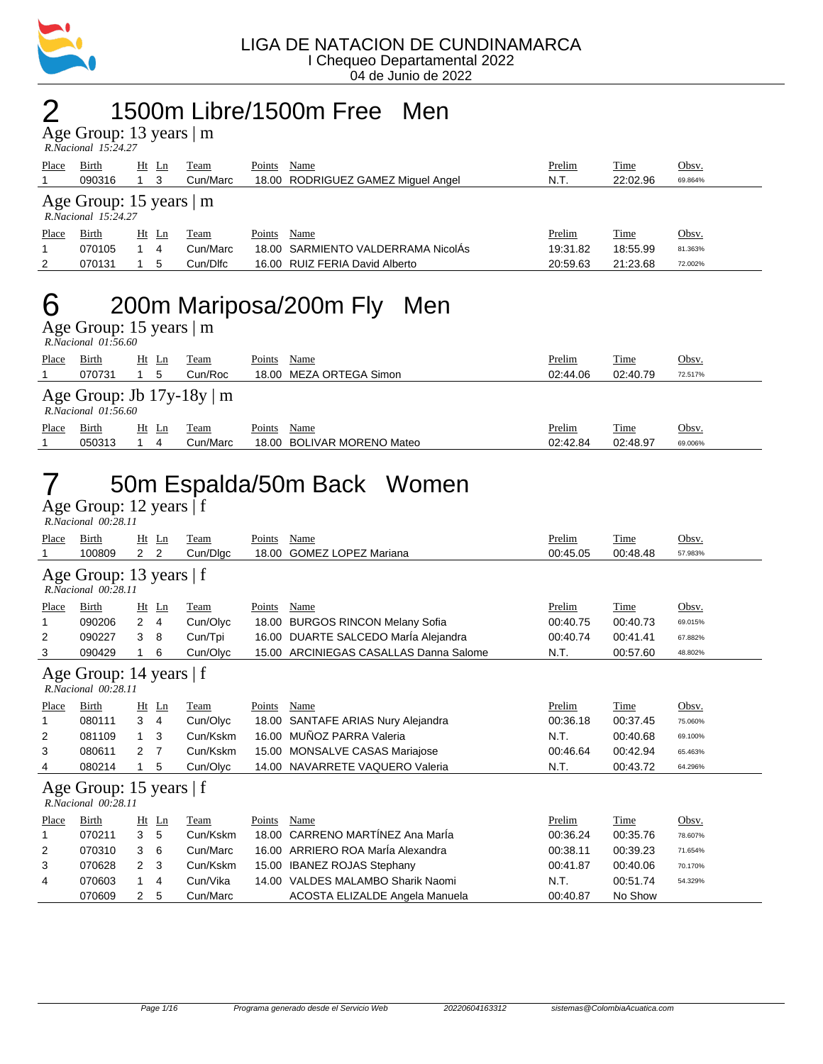

#### 2 1500m Libre/1500m Free Men

Age Group: 13 years | m  *R.Nacional 15:24.27* 

| Place | Birth                                                    | Ht Ln |    | Team     | Points | Name                               | Prelim   | Time     | Obsv.   |
|-------|----------------------------------------------------------|-------|----|----------|--------|------------------------------------|----------|----------|---------|
|       | 090316                                                   |       | -3 | Cun/Marc |        | 18.00 RODRIGUEZ GAMEZ Miguel Angel | N.T.     | 22:02.96 | 69.864% |
|       | Age Group: $15$ years $\mid$ m<br>$R. Nacional$ 15:24.27 |       |    |          |        |                                    |          |          |         |
| Place | Birth                                                    | Ht Ln |    | Team     | Points | Name                               | Prelim   | Time     | Obsv.   |
|       | 070105                                                   |       | 4  | Cun/Marc |        | 18.00 SARMIENTO VALDERRAMA NicolÁs | 19:31.82 | 18:55.99 | 81.363% |
| 2     | 070131                                                   |       | 5  | Cun/Dlfc |        | 16.00 RUIZ FERIA David Alberto     | 20:59.63 | 21:23.68 | 72.002% |
|       |                                                          |       |    |          |        |                                    |          |          |         |

#### 6 200m Mariposa/200m Fly Men

Age Group: 15 years | m  *R.Nacional 01:56.60* 

|                                                            | *************************** |         |          |        |                            |          |             |         |
|------------------------------------------------------------|-----------------------------|---------|----------|--------|----------------------------|----------|-------------|---------|
| Place                                                      | <b>Birth</b>                | $Ht$ Ln | Team     | Points | Name                       | Prelim   | <b>Time</b> | Obsv.   |
|                                                            | 070731                      | 5       | Cun/Roc  |        | 18.00 MEZA ORTEGA Simon    | 02:44.06 | 02:40.79    | 72.517% |
| Age Group: Jb $17y-18y \mid m$<br>$R. Nacional$ $01:56.60$ |                             |         |          |        |                            |          |             |         |
| Place                                                      | <b>Birth</b>                | $Ht$ Ln | Team     | Points | Name                       | Prelim   | <b>Time</b> | Obsv.   |
|                                                            | 050313                      | 4       | Cun/Marc |        | 18.00 BOLIVAR MORENO Mateo | 02:42.84 | 02:48.97    | 69.006% |

## 7 50m Espalda/50m Back Women

|                                                  | R.Nacional 00:28.11 |                                |    |             |        |                                      |          |          |         |
|--------------------------------------------------|---------------------|--------------------------------|----|-------------|--------|--------------------------------------|----------|----------|---------|
| Place                                            | Birth               | Ht                             | Ln | Team        | Points | Name                                 | Prelim   | Time     | Obsv.   |
|                                                  | 100809              | $\mathbf{2}$<br>$\overline{2}$ |    | Cun/Dlgc    | 18.00  | <b>GOMEZ LOPEZ Mariana</b>           | 00:45.05 | 00:48.48 | 57.983% |
| Age Group: 13 years   f<br>R.Nacional 00:28.11   |                     |                                |    |             |        |                                      |          |          |         |
| Place                                            | Birth               | Ht<br>Ln                       |    | Team        | Points | Name                                 | Prelim   | Time     | Obsv.   |
|                                                  | 090206              | $\overline{2}$<br>4            |    | Cun/Olyc    | 18.00  | <b>BURGOS RINCON Melany Sofia</b>    | 00:40.75 | 00:40.73 | 69.015% |
| 2                                                | 090227              | 3<br>8                         |    | Cun/Tpi     |        | 16.00 DUARTE SALCEDO Maria Alejandra | 00:40.74 | 00:41.41 | 67.882% |
| 3                                                | 090429              | 6                              |    | Cun/Olyc    | 15.00  | ARCINIEGAS CASALLAS Danna Salome     | N.T.     | 00:57.60 | 48.802% |
| Age Group: 14 years $ f $<br>R.Nacional 00:28.11 |                     |                                |    |             |        |                                      |          |          |         |
| Place                                            | Birth               | $Ht$ Ln                        |    | <b>Team</b> | Points | Name                                 | Prelim   | Time     | Obsv.   |
|                                                  | 080111              | 3<br>$\overline{4}$            |    | Cun/Olyc    | 18.00  | SANTAFE ARIAS Nury Alejandra         | 00:36.18 | 00:37.45 | 75.060% |
| 2                                                | 081109              | 3<br>$\mathbf{1}$              |    | Cun/Kskm    | 16.00  | MUÑOZ PARRA Valeria                  | N.T.     | 00:40.68 | 69.100% |
| 3                                                | 080611              | 2<br>7                         |    | Cun/Kskm    |        | 15.00 MONSALVE CASAS Mariajose       | 00:46.64 | 00:42.94 | 65.463% |
| 4                                                | 080214              | 5                              |    | Cun/Olyc    |        | 14.00 NAVARRETE VAQUERO Valeria      | N.T.     | 00:43.72 | 64.296% |
| Age Group: 15 years   f<br>R.Nacional 00:28.11   |                     |                                |    |             |        |                                      |          |          |         |
| Place                                            | Birth               | Ht                             | Ln | Team        | Points | Name                                 | Prelim   | Time     | Obsv.   |
|                                                  | 070211              | 3<br>5                         |    | Cun/Kskm    | 18.00  | CARRENO MARTÍNEZ Ana MarÍa           | 00:36.24 | 00:35.76 | 78.607% |
| 2                                                | 070310              | 3<br>6                         |    | Cun/Marc    |        | 16.00 ARRIERO ROA MarÍa Alexandra    | 00:38.11 | 00:39.23 | 71.654% |
| 3                                                | 070628              | 2<br>3                         |    | Cun/Kskm    | 15.00  | <b>IBANEZ ROJAS Stephany</b>         | 00:41.87 | 00:40.06 | 70.170% |
| 4                                                | 070603              | 1<br>4                         |    | Cun/Vika    | 14.00  | VALDES MALAMBO Sharik Naomi          | N.T.     | 00:51.74 | 54.329% |
|                                                  | 070609              | 2<br>5                         |    | Cun/Marc    |        | ACOSTA ELIZALDE Angela Manuela       | 00:40.87 | No Show  |         |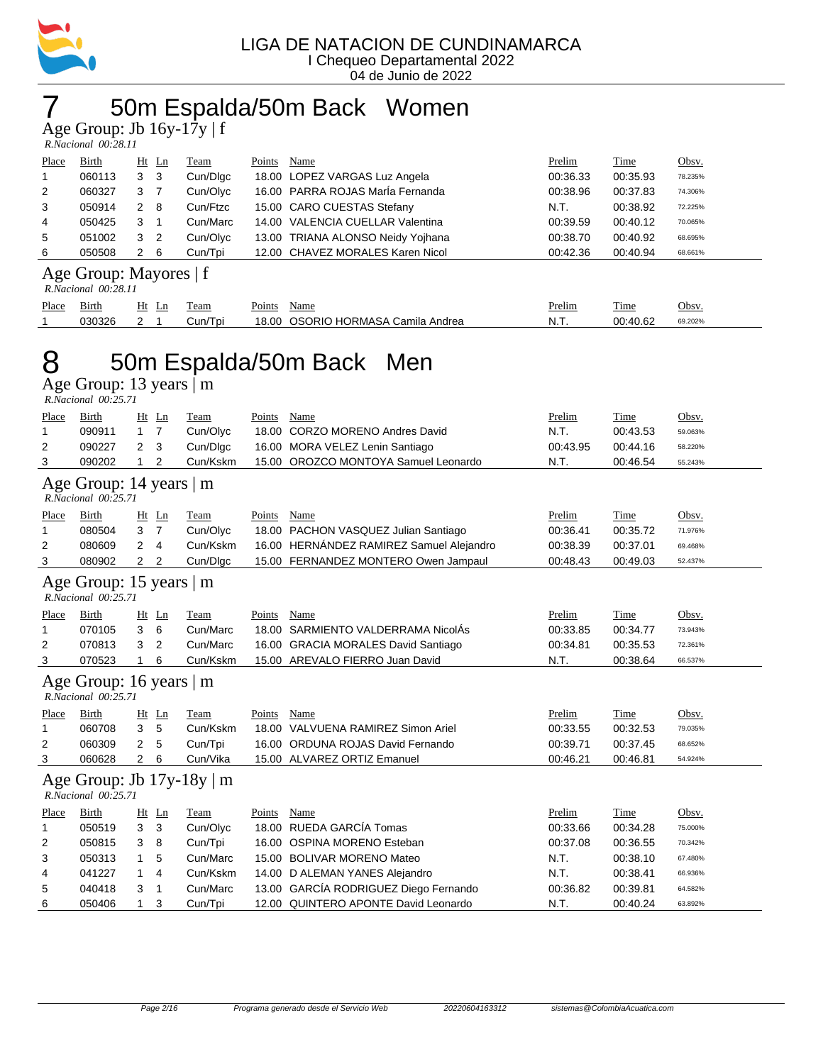

## 7 50m Espalda/50m Back Women

Age Group: Jb 16y-17y | f

| R.Nacional 00:28.11 |  |
|---------------------|--|

| Place          | <b>Birth</b>                             |   | $Ht$ Ln | <b>Team</b> | Points | Name                              | Prelim   | <b>Time</b> | Obsv.   |
|----------------|------------------------------------------|---|---------|-------------|--------|-----------------------------------|----------|-------------|---------|
|                | 060113                                   | 3 | - 3     | Cun/Dlgc    |        | 18.00 LOPEZ VARGAS Luz Angela     | 00:36.33 | 00:35.93    | 78.235% |
| 2              | 060327                                   | 3 |         | Cun/Olyc    |        | 16.00 PARRA ROJAS MarÍa Fernanda  | 00:38.96 | 00:37.83    | 74.306% |
| 3              | 050914                                   | 2 | - 8     | Cun/Ftzc    |        | 15.00 CARO CUESTAS Stefany        | N.T.     | 00:38.92    | 72.225% |
| $\overline{4}$ | 050425                                   | 3 |         | Cun/Marc    |        | 14.00 VALENCIA CUELLAR Valentina  | 00:39.59 | 00:40.12    | 70.065% |
| 5              | 051002                                   | 3 | -2      | Cun/Olyc    |        | 13.00 TRIANA ALONSO Neidy Yojhana | 00:38.70 | 00:40.92    | 68.695% |
| 6              | 050508                                   | 2 | - 6     | Cun/Tpi     |        | 12.00 CHAVEZ MORALES Karen Nicol  | 00:42.36 | 00:40.94    | 68.661% |
|                | $\Lambda$ go Croup: Moyaros $\mathbf{f}$ |   |         |             |        |                                   |          |             |         |

#### Age Group: Mayores | f

|       | R.Nacional 00:28.11 |    |         |                                    |        |          |         |  |  |
|-------|---------------------|----|---------|------------------------------------|--------|----------|---------|--|--|
| Place | Birth               | Ht | Team    | Points<br>Name                     | Prelim | Time     | Obsv.   |  |  |
|       | 030326              |    | Cun/Tpi | 18.00 OSORIO HORMASA Camila Andrea | N.T.   | 00:40.62 | 69.202% |  |  |

## 8 50m Espalda/50m Back Men

|              | R.Nacional 00:25.71                                   |                |                |          |               |                                          |          |             |         |
|--------------|-------------------------------------------------------|----------------|----------------|----------|---------------|------------------------------------------|----------|-------------|---------|
| Place        | Birth                                                 | Ht             | Ln             | Team     | Points        | Name                                     | Prelim   | Time        | Obsv.   |
| 1            | 090911                                                | $\mathbf{1}$   | $\overline{7}$ | Cun/Olyc | 18.00         | <b>CORZO MORENO Andres David</b>         | N.T.     | 00:43.53    | 59.063% |
| 2            | 090227                                                | 2              | 3              | Cun/Dlgc |               | 16.00 MORA VELEZ Lenin Santiago          | 00:43.95 | 00:44.16    | 58.220% |
| 3            | 090202                                                | 1              | 2              | Cun/Kskm |               | 15.00 OROZCO MONTOYA Samuel Leonardo     | N.T.     | 00:46.54    | 55.243% |
|              | Age Group: 14 years   m                               |                |                |          |               |                                          |          |             |         |
|              | R.Nacional 00:25.71                                   |                |                |          |               |                                          |          |             |         |
| Place        | Birth                                                 |                | $Ht$ Ln        | Team     | Points        | Name                                     | Prelim   | Time        | Obsv.   |
| 1            | 080504                                                | 3              | $\overline{7}$ | Cun/Olyc |               | 18.00 PACHON VASQUEZ Julian Santiago     | 00:36.41 | 00:35.72    | 71.976% |
| 2            | 080609                                                | 2              | 4              | Cun/Kskm |               | 16.00 HERNÁNDEZ RAMIREZ Samuel Alejandro | 00:38.39 | 00:37.01    | 69.468% |
| 3            | 080902                                                | 2              | 2              | Cun/Dlgc |               | 15.00 FERNANDEZ MONTERO Owen Jampaul     | 00:48.43 | 00:49.03    | 52.437% |
|              | Age Group: 15 years   m<br>R.Nacional 00:25.71        |                |                |          |               |                                          |          |             |         |
| Place        | Birth                                                 |                | $Ht$ Ln        | Team     | Points        | Name                                     | Prelim   | Time        | Obsv.   |
| 1            | 070105                                                | 3              | 6              | Cun/Marc |               | 18.00 SARMIENTO VALDERRAMA NicolAs       | 00:33.85 | 00:34.77    | 73.943% |
| 2            | 070813                                                | 3              | 2              | Cun/Marc |               | 16.00 GRACIA MORALES David Santiago      | 00:34.81 | 00:35.53    | 72.361% |
| 3            | 070523                                                | 1              | 6              | Cun/Kskm |               | 15.00 AREVALO FIERRO Juan David          | N.T.     | 00:38.64    | 66.537% |
|              | Age Group: 16 years   m<br>R.Nacional 00:25.71        |                |                |          |               |                                          |          |             |         |
| <b>Place</b> | <b>Birth</b>                                          | Ht             | Ln             | Team     | <b>Points</b> | <b>Name</b>                              | Prelim   | <b>Time</b> | Obsv.   |
| 1            | 060708                                                | 3              | 5              | Cun/Kskm |               | 18.00 VALVUENA RAMIREZ Simon Ariel       | 00:33.55 | 00:32.53    | 79.035% |
| 2            | 060309                                                | 2              | 5              | Cun/Tpi  |               | 16.00 ORDUNA ROJAS David Fernando        | 00:39.71 | 00:37.45    | 68.652% |
| 3            | 060628                                                | $\overline{2}$ | 6              | Cun/Vika |               | 15.00 ALVAREZ ORTIZ Emanuel              | 00:46.21 | 00:46.81    | 54.924% |
|              | Age Group: Jb $17y-18y \mid m$<br>R.Nacional 00:25.71 |                |                |          |               |                                          |          |             |         |
| Place        | Birth                                                 |                | Ht Ln          | Team     | Points        | Name                                     | Prelim   | Time        | Obsv.   |
| 1            | 050519                                                | 3              | 3              | Cun/Olyc |               | 18.00 RUEDA GARCÍA Tomas                 | 00:33.66 | 00:34.28    | 75.000% |
| 2            | 050815                                                | 3              | 8              | Cun/Tpi  |               | 16.00 OSPINA MORENO Esteban              | 00:37.08 | 00:36.55    | 70.342% |
| 3            | 050313                                                | $\mathbf{1}$   | 5              | Cun/Marc |               | 15.00 BOLIVAR MORENO Mateo               | N.T.     | 00:38.10    | 67.480% |
| 4            | 041227                                                | 1              | 4              | Cun/Kskm |               | 14.00 D ALEMAN YANES Alejandro           | N.T.     | 00:38.41    | 66.936% |
| 5            | 040418                                                | 3              | 1              | Cun/Marc |               | 13.00 GARCÍA RODRIGUEZ Diego Fernando    | 00:36.82 | 00:39.81    | 64.582% |
| 6            | 050406                                                | 1              | 3              | Cun/Tpi  |               | 12.00 QUINTERO APONTE David Leonardo     | N.T.     | 00:40.24    | 63.892% |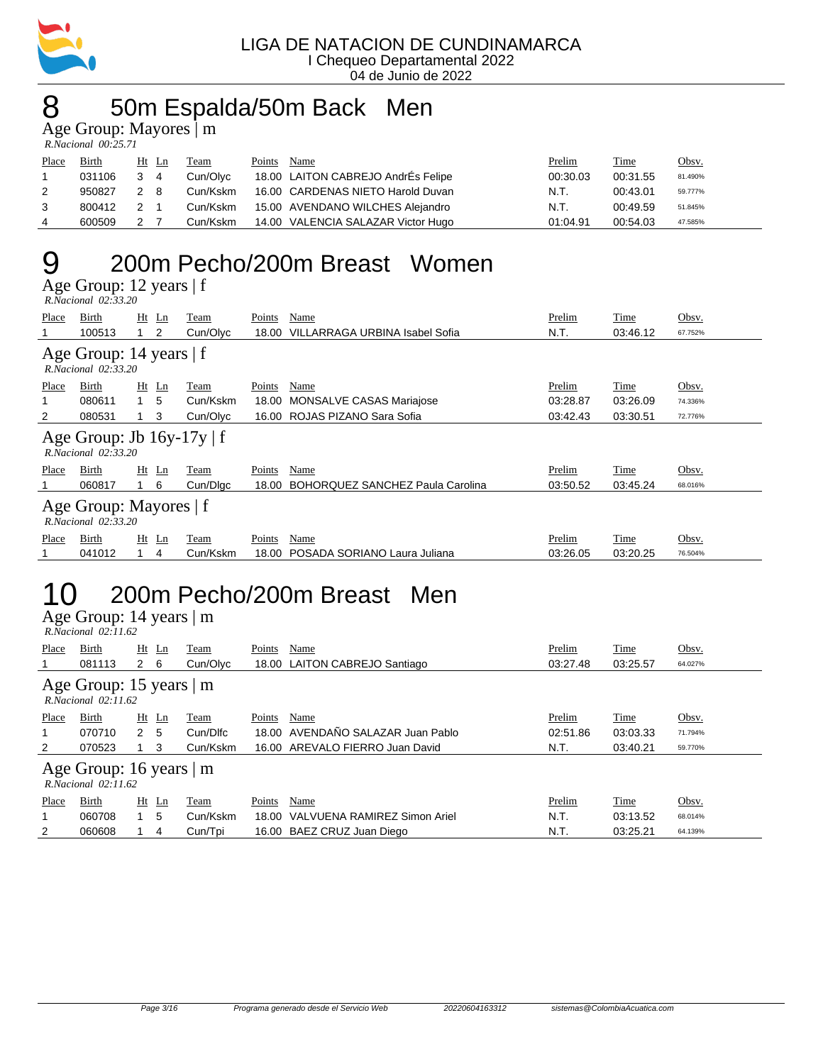

#### 8 50m Espalda/50m Back Men

Age Group: Mayores | m

| R.Nacional 00:25.71 |              |     |         |          |        |                                    |               |          |         |
|---------------------|--------------|-----|---------|----------|--------|------------------------------------|---------------|----------|---------|
| Place               | <b>Birth</b> |     | $Ht$ Ln | Team     | Points | Name                               | <b>Prelim</b> | Time     | Obsv.   |
|                     | 031106       |     | 4       | Cun/Olyc |        | 18.00 LAITON CABREJO AndrEs Felipe | 00:30.03      | 00:31.55 | 81.490% |
| 2                   | 950827       | 2 8 |         | Cun/Kskm |        | 16.00 CARDENAS NIETO Harold Duvan  | N.T.          | 00:43.01 | 59.777% |
| 3                   | 800412       |     |         | Cun/Kskm |        | 15.00 AVENDANO WILCHES Alejandro   | N.T.          | 00:49.59 | 51.845% |
| 4                   | 600509       |     |         | Cun/Kskm |        | 14.00 VALENCIA SALAZAR Victor Hugo | 01:04.91      | 00:54.03 | 47.585% |

#### 9 200m Pecho/200m Breast Women

Age Group: 12 years | f

| R.Nacional 02:33.20 |  |
|---------------------|--|

| Place                                              | Birth<br>100513                                            | Ht<br>Ln<br>2 | Team<br>Cun/Olyc | Points<br>18.00 | Name<br>VILLARRAGA URBINA Isabel Sofia  | Prelim<br>N.T. | Time<br>03:46.12 | Obsv.<br>67.752% |  |
|----------------------------------------------------|------------------------------------------------------------|---------------|------------------|-----------------|-----------------------------------------|----------------|------------------|------------------|--|
|                                                    | Age Group: 14 years   f<br>R. Nacional 02:33.20            |               |                  |                 |                                         |                |                  |                  |  |
| Place                                              | Birth                                                      | $Ht$ Ln       | Team             | Points          | Name                                    | Prelim         | Time             | Obsv.            |  |
|                                                    | 080611                                                     | $1\quad 5$    | Cun/Kskm         | 18.00           | <b>MONSALVE CASAS Mariajose</b>         | 03:28.87       | 03:26.09         | 74.336%          |  |
| $\overline{2}$                                     | 080531                                                     | 3             | Cun/Olyc         |                 | 16.00 ROJAS PIZANO Sara Sofia           | 03:42.43       | 03:30.51         | 72.776%          |  |
|                                                    | Age Group: Jb $16y-17y \mid f$<br>$R. Nacional$ $02:33.20$ |               |                  |                 |                                         |                |                  |                  |  |
| Place                                              | Birth                                                      | $Ht$ Ln       | Team             | Points          | Name                                    | Prelim         | Time             | Obsv.            |  |
|                                                    | 060817                                                     | - 6           | Cun/Dlgc         | 18.00           | <b>BOHORQUEZ SANCHEZ Paula Carolina</b> | 03:50.52       | 03:45.24         | 68.016%          |  |
| Age Group: Mayores   f<br>$R. Nacional$ $02:33.20$ |                                                            |               |                  |                 |                                         |                |                  |                  |  |
| Place                                              | Birth                                                      | $Ht$ Ln       | Team             | Points          | Name                                    | Prelim         | Time             | Obsv.            |  |
|                                                    | 041012                                                     | 4             | Cun/Kskm         | 18.00           | POSADA SORIANO Laura Juliana            | 03:26.05       | 03:20.25         | 76.504%          |  |

## 10 200m Pecho/200m Breast Men

Age Group: 14 years | m  *R.Nacional 02:11.62* 

| Place                                                    | Birth<br>081113 | $Ht$ Ln<br>$2 \quad 6$ | Team<br>Cun/Olvc | Points | Name<br>18.00 LAITON CABREJO Santiago | Prelim<br>03:27.48 | Time<br>03:25.57 | Obsv.<br>64.027% |
|----------------------------------------------------------|-----------------|------------------------|------------------|--------|---------------------------------------|--------------------|------------------|------------------|
| Age Group: 15 years $ m $<br>$R$ Nacional $02.1162$      |                 |                        |                  |        |                                       |                    |                  |                  |
| Place                                                    | Birth           | $Ht$ Ln                | Team             | Points | Name                                  | Prelim             | Time             | Obsv.            |
|                                                          | 070710          | 2 <sub>5</sub>         | Cun/Dlfc         | 18.00  | AVENDAÑO SALAZAR Juan Pablo           | 02:51.86           | 03:03.33         | 71.794%          |
| 2                                                        | 070523          | 3                      | Cun/Kskm         |        | 16.00 AREVALO FIERRO Juan David       | N.T.               | 03:40.21         | 59.770%          |
| Age Group: 16 years   m<br>$R$ Nacional $02 \cdot 11.62$ |                 |                        |                  |        |                                       |                    |                  |                  |
| Place                                                    | Birth           | Ht<br>Ln               | Team             | Points | Name                                  | Prelim             | Time             | Obsv.            |
|                                                          | 060708          | 5<br>1.                | Cun/Kskm         | 18.00  | VAI VUENA RAMIREZ Simon Ariel         | N.T.               | 03:13.52         | 68.014%          |
| 2                                                        | 060608          | 4                      | Cun/Tpi          |        | 16.00 BAEZ CRUZ Juan Diego            | N.T.               | 03:25.21         | 64.139%          |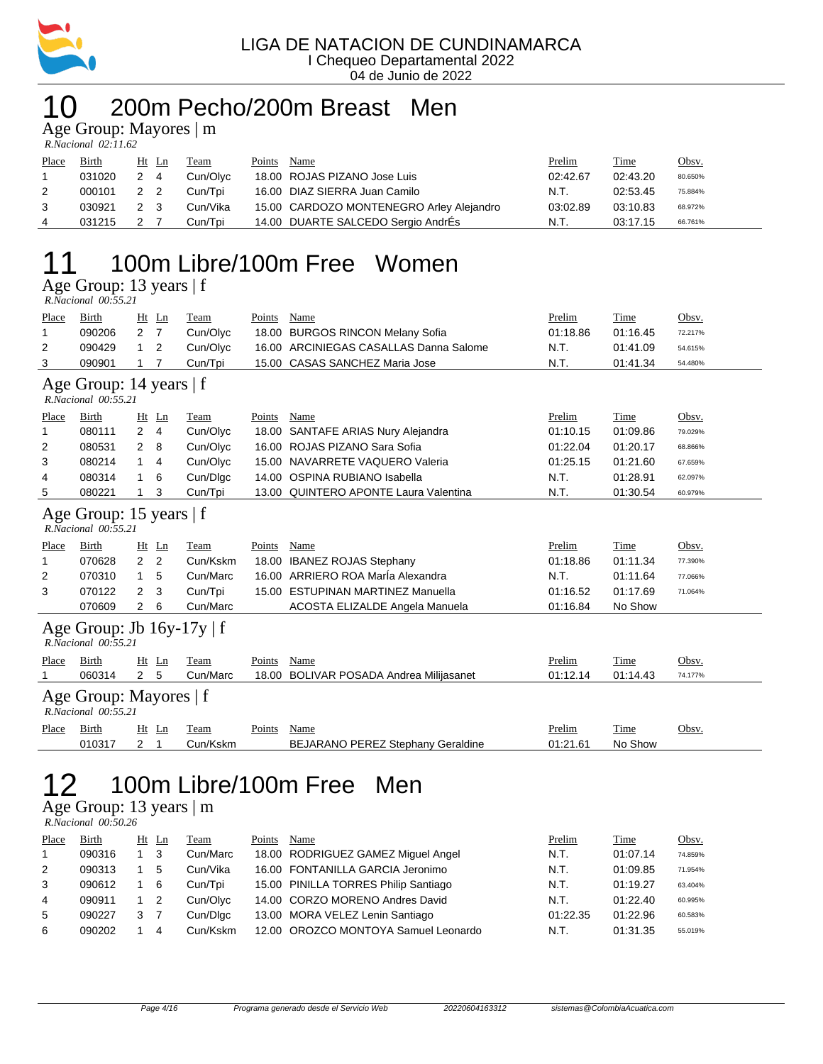

#### 10 200m Pecho/200m Breast Men

Age Group: Mayores | m

| R.Nacional 02:11.62 |  |
|---------------------|--|

| Place | Birth  | Ht Ln | Team     | Points | Name                                     | <b>Prelim</b> | <b>Time</b> | Obsv.   |
|-------|--------|-------|----------|--------|------------------------------------------|---------------|-------------|---------|
|       | 031020 | 2 4   | Cun/Olvc |        | 18.00 ROJAS PIZANO Jose Luis             | 02:42.67      | 02:43.20    | 80.650% |
|       | 000101 | 2 2   | Cun/Tpi  |        | 16.00 DIAZ SIERRA Juan Camilo            | N.T.          | 02:53.45    | 75.884% |
|       | 030921 | 2 3   | Cun/Vika |        | 15.00 CARDOZO MONTENEGRO Arley Alejandro | 03:02.89      | 03:10.83    | 68.972% |
| 4     | 031215 |       | Cun/Tpi  |        | 14.00 DUARTE SALCEDO Sergio AndrÉs       | N.T.          | 03:17.15    | 66.761% |

## 11 100m Libre/100m Free Women

Age Group: 13 years | f

| $R. Nacional$ $00:55.21$ |  |
|--------------------------|--|
|--------------------------|--|

| Place                                          | Birth                                                 | Ht             | Ln    | Team     | <b>Points</b> | Name                                     | Prelim   | Time     | Obsv.   |  |  |  |  |
|------------------------------------------------|-------------------------------------------------------|----------------|-------|----------|---------------|------------------------------------------|----------|----------|---------|--|--|--|--|
| 1                                              | 090206                                                | 2              | 7     | Cun/Olyc |               | 18.00 BURGOS RINCON Melany Sofia         | 01:18.86 | 01:16.45 | 72.217% |  |  |  |  |
| 2                                              | 090429                                                | 1              | 2     | Cun/Olyc | 16.00         | ARCINIEGAS CASALLAS Danna Salome         | N.T.     | 01:41.09 | 54.615% |  |  |  |  |
| 3                                              | 090901                                                | 1              | 7     | Cun/Tpi  | 15.00         | <b>CASAS SANCHEZ Maria Jose</b>          | N.T.     | 01:41.34 | 54.480% |  |  |  |  |
| Age Group: 14 years   f<br>R.Nacional 00:55.21 |                                                       |                |       |          |               |                                          |          |          |         |  |  |  |  |
| Place                                          | Birth                                                 | Ht             | Ln    | Team     | Points        | Name                                     | Prelim   | Time     | Obsv.   |  |  |  |  |
|                                                | 080111                                                | $\overline{2}$ | 4     | Cun/Olyc |               | 18.00 SANTAFE ARIAS Nury Alejandra       | 01:10.15 | 01:09.86 | 79.029% |  |  |  |  |
| 2                                              | 080531                                                | 2              | 8     | Cun/Olyc | 16.00         | ROJAS PIZANO Sara Sofia                  | 01:22.04 | 01:20.17 | 68.866% |  |  |  |  |
| 3                                              | 080214                                                | 1              | 4     | Cun/Olyc | 15.00         | NAVARRETE VAQUERO Valeria                | 01:25.15 | 01:21.60 | 67.659% |  |  |  |  |
| 4                                              | 080314                                                | 1              | 6     | Cun/Dlgc |               | 14.00 OSPINA RUBIANO Isabella            | N.T.     | 01:28.91 | 62.097% |  |  |  |  |
| 5                                              | 080221                                                | 1              | 3     | Cun/Tpi  |               | 13.00 QUINTERO APONTE Laura Valentina    | N.T.     | 01:30.54 | 60.979% |  |  |  |  |
|                                                | Age Group: 15 years $ f $<br>R.Nacional 00:55.21      |                |       |          |               |                                          |          |          |         |  |  |  |  |
| Place                                          | Birth                                                 | Ht             | Ln    | Team     | Points        | Name                                     | Prelim   | Time     | Obsv.   |  |  |  |  |
| 1                                              | 070628                                                | $\overline{2}$ | 2     | Cun/Kskm | 18.00         | <b>IBANEZ ROJAS Stephany</b>             | 01:18.86 | 01:11.34 | 77.390% |  |  |  |  |
| 2                                              | 070310                                                | 1              | 5     | Cun/Marc |               | 16.00 ARRIERO ROA MarÍa Alexandra        | N.T.     | 01:11.64 | 77.066% |  |  |  |  |
| 3                                              | 070122                                                | 2              | 3     | Cun/Tpi  | 15.00         | <b>ESTUPINAN MARTINEZ Manuella</b>       | 01:16.52 | 01:17.69 | 71.064% |  |  |  |  |
|                                                | 070609                                                | 2              | 6     | Cun/Marc |               | ACOSTA ELIZALDE Angela Manuela           | 01:16.84 | No Show  |         |  |  |  |  |
|                                                | Age Group: Jb $16y-17y \mid f$<br>R.Nacional 00:55.21 |                |       |          |               |                                          |          |          |         |  |  |  |  |
| Place                                          | Birth                                                 |                | Ht Ln | Team     | Points        | Name                                     | Prelim   | Time     | Obsv.   |  |  |  |  |
|                                                | 060314                                                | $\overline{2}$ | 5     | Cun/Marc | 18.00         | <b>BOLIVAR POSADA Andrea Milijasanet</b> | 01:12.14 | 01:14.43 | 74.177% |  |  |  |  |
| Age Group: Mayores   f<br>R.Nacional 00:55.21  |                                                       |                |       |          |               |                                          |          |          |         |  |  |  |  |

| Place | $-$ .<br>Birth     | Ht<br>Ln | eam      | $\mathbf{p}_{\text{oints}}$ | Name                              | Prelim   | Time    | Obsv. |
|-------|--------------------|----------|----------|-----------------------------|-----------------------------------|----------|---------|-------|
|       | 01031 <sup>-</sup> | -        | วun/Kskm |                             | BEJARANO PEREZ Stephany Geraldine | 01:21.61 | No Show |       |

#### 100m Libre/100m Free Men 12 100m Libr<br>Age Group: 13 years  $|m$ <br>*RNacional 00:50.26*

| . .                 |  |
|---------------------|--|
| R.Nacional 00:50.26 |  |

| Place | Birth  | Ht Ln | Team     | Points | Name                                 | Prelim   | Time     | Obsv.   |
|-------|--------|-------|----------|--------|--------------------------------------|----------|----------|---------|
|       | 090316 |       | Cun/Marc |        | 18.00 RODRIGUEZ GAMEZ Miquel Angel   | N.T.     | 01:07.14 | 74.859% |
| 2     | 090313 |       | Cun/Vika |        | 16.00 FONTANILLA GARCIA Jeronimo     | N.T.     | 01:09.85 | 71.954% |
| 3     | 090612 | 6     | Cun/Tpi  |        | 15.00 PINILLA TORRES Philip Santiago | N.T.     | 01:19.27 | 63.404% |
| 4     | 090911 |       | Cun/Olvc |        | 14.00 CORZO MORENO Andres David      | N.T.     | 01:22.40 | 60.995% |
| 5     | 090227 |       | Cun/Dlgc |        | 13.00 MORA VELEZ Lenin Santiago      | 01:22.35 | 01:22.96 | 60.583% |
| 6     | 090202 |       | Cun/Kskm |        | 12.00 OROZCO MONTOYA Samuel Leonardo | N.T.     | 01:31.35 | 55.019% |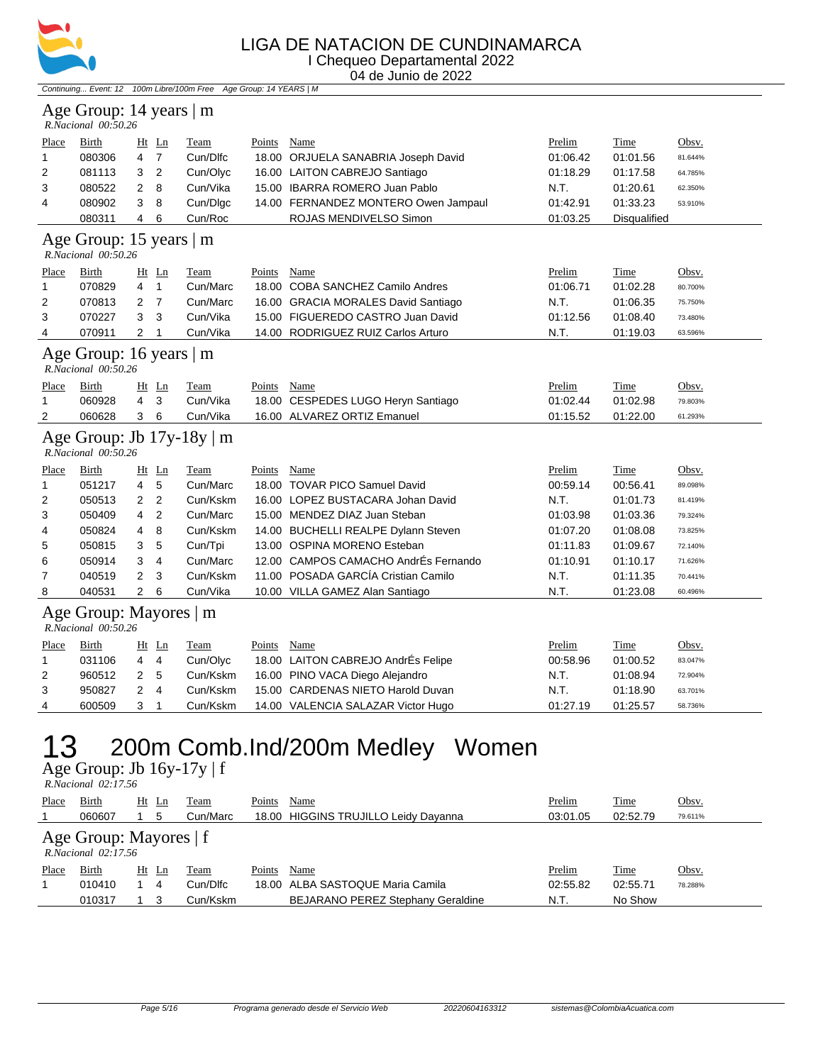

#### LIGA DE NATACION DE CUNDINAMARCA I Chequeo Departamental 2022

04 de Junio de 2022

Continuing... Event: 12 100m Libre/100m Free Age Group: 14 YEARS | M

#### Age Group: 14 years | m

|                | R.Nacional 00:50.26 |                |     |          |        |                                      |          |                     |         |
|----------------|---------------------|----------------|-----|----------|--------|--------------------------------------|----------|---------------------|---------|
| Place          | Birth               | $Ht$ Ln        |     | Team     | Points | Name                                 | Prelim   | Time                | Obsv.   |
|                | 080306              | 4              |     | Cun/Dlfc |        | 18.00 ORJUELA SANABRIA Joseph David  | 01:06.42 | 01:01.56            | 81.644% |
| $\overline{2}$ | 081113              | 3 <sub>2</sub> |     | Cun/Olyc |        | 16.00 LAITON CABREJO Santiago        | 01:18.29 | 01:17.58            | 64.785% |
| 3              | 080522              | 2 8            |     | Cun/Vika |        | 15.00 IBARRA ROMERO Juan Pablo       | N.T.     | 01:20.61            | 62.350% |
| 4              | 080902              | $\mathbf{3}$   | - 8 | Cun/Dlgc |        | 14.00 FERNANDEZ MONTERO Owen Jampaul | 01:42.91 | 01:33.23            | 53.910% |
|                | 080311              | 4              | -6  | Cun/Roc  |        | ROJAS MENDIVELSO Simon               | 01:03.25 | <b>Disqualified</b> |         |

#### Age Group: 15 years | m

 *R.Nacional 00:50.26* 

| Place                     | Birth  | $Ht$ Ln |    | Team     | Points | Name                                | Prelim   | Time     | Obsv.   |  |  |
|---------------------------|--------|---------|----|----------|--------|-------------------------------------|----------|----------|---------|--|--|
|                           | 070829 | 4       |    | Cun/Marc |        | 18.00 COBA SANCHEZ Camilo Andres    | 01:06.71 | 01:02.28 | 80.700% |  |  |
| 2                         | 070813 | 2 7     |    | Cun/Marc |        | 16.00 GRACIA MORALES David Santiago | N.T.     | 01:06.35 | 75.750% |  |  |
| 3                         | 070227 | 3       | -3 | Cun/Vika |        | 15.00 FIGUEREDO CASTRO Juan David   | 01:12.56 | 01:08.40 | 73.480% |  |  |
| 4                         | 070911 |         |    | Cun/Vika |        | 14.00 RODRIGUEZ RUIZ Carlos Arturo  | N.T.     | 01:19.03 | 63.596% |  |  |
| Age Group: 16 years $ m $ |        |         |    |          |        |                                     |          |          |         |  |  |

 *R.Nacional 00:50.26* 

| 2     | 060628 3 6 |       | Cun/Vika | 16.00 ALVAREZ ORTIZ Emanuel        | 01:15.52 | 01:22.00 | 61.293% |
|-------|------------|-------|----------|------------------------------------|----------|----------|---------|
|       | 060928     | 43    | Cun/Vika | 18.00 CESPEDES LUGO Heryn Santiago | 01:02.44 | 01:02.98 | 79.803% |
| Place | Birth      | Ht Ln | Team     | $P_{\text{oints}}$<br>Name         | Prelim   | Time     | Obsv.   |

#### Age Group: Jb 17y-18y | m

 *R.Nacional 00:50.26* 

| Place          | Birth  |   | $Ht$ Ln | Team     | Points | Name                                 | Prelim   | Time     | Obsv.   |
|----------------|--------|---|---------|----------|--------|--------------------------------------|----------|----------|---------|
|                | 051217 | 4 | 5       | Cun/Marc |        | 18.00 TOVAR PICO Samuel David        | 00:59.14 | 00:56.41 | 89.098% |
| 2              | 050513 | 2 | - 2     | Cun/Kskm |        | 16.00 LOPEZ BUSTACARA Johan David    | N.T.     | 01:01.73 | 81.419% |
| 3              | 050409 | 4 | -2      | Cun/Marc |        | 15.00 MENDEZ DIAZ Juan Steban        | 01:03.98 | 01:03.36 | 79.324% |
| 4              | 050824 | 4 | - 8     | Cun/Kskm |        | 14.00 BUCHELLI REALPE Dylann Steven  | 01:07.20 | 01:08.08 | 73.825% |
| 5              | 050815 | 3 | 5       | Cun/Tpi  |        | 13.00 OSPINA MORENO Esteban          | 01:11.83 | 01:09.67 | 72.140% |
| 6              | 050914 | 3 | 4       | Cun/Marc |        | 12.00 CAMPOS CAMACHO AndrÉs Fernando | 01:10.91 | 01:10.17 | 71.626% |
| $\overline{7}$ | 040519 | 2 | - 3     | Cun/Kskm |        | 11.00 POSADA GARCÍA Cristian Camilo  | N.T.     | 01:11.35 | 70.441% |
| 8              | 040531 |   | - 6     | Cun/Vika |        | 10.00 VILLA GAMEZ Alan Santiago      | N.T.     | 01:23.08 | 60.496% |

#### Age Group: Mayores | m

 *R.Nacional 00:50.26* 

| Place | Birth  | Ht Ln  | Team     | Points | Name                               | <b>Prelim</b> | <b>Time</b> | <u>Obsv.</u> |
|-------|--------|--------|----------|--------|------------------------------------|---------------|-------------|--------------|
|       | 031106 | 4<br>4 | Cun/Olvc |        | 18.00 LAITON CABREJO AndrÉs Felipe | 00:58.96      | 01:00.52    | 83.047%      |
| 2     | 960512 | 2 5    | Cun/Kskm |        | 16.00 PINO VACA Diego Alejandro    | N.T.          | 01:08.94    | 72.904%      |
|       | 950827 | 2 4    | Cun/Kskm |        | 15.00 CARDENAS NIETO Harold Duvan  | N.T.          | 01:18.90    | 63.701%      |
| 4     | 600509 |        | Cun/Kskm |        | 14.00 VALENCIA SALAZAR Victor Hugo | 01:27.19      | 01:25.57    | 58.736%      |

## 13 200m Comb.Ind/200m Medley Women

Age Group: Jb 16y-17y | f

|       | $R. Nacional$ 02:17.56                             |          |          |        |                                      |          |          |              |  |  |  |  |
|-------|----------------------------------------------------|----------|----------|--------|--------------------------------------|----------|----------|--------------|--|--|--|--|
| Place | Birth                                              | Ht<br>Ln | Team     | Points | Name                                 | Prelim   | Time     | <u>Obsv.</u> |  |  |  |  |
|       | 060607                                             | 5        | Cun/Marc |        | 18.00 HIGGINS TRUJILLO Leidy Dayanna | 03:01.05 | 02:52.79 | 79.611%      |  |  |  |  |
|       | Age Group: Mayores $ f $<br>$R. Nacional$ 02:17.56 |          |          |        |                                      |          |          |              |  |  |  |  |
| Place | Birth                                              | $Ht$ Ln  | Team     | Points | Name                                 | Prelim   | Time     | <u>Obsv.</u> |  |  |  |  |
|       | 010410                                             | -4       | Cun/Dlfc |        | 18.00 ALBA SASTOQUE Maria Camila     | 02:55.82 | 02:55.71 | 78.288%      |  |  |  |  |
|       | 010317                                             |          | Cun/Kskm |        | BEJARANO PEREZ Stephany Geraldine    | N.T.     | No Show  |              |  |  |  |  |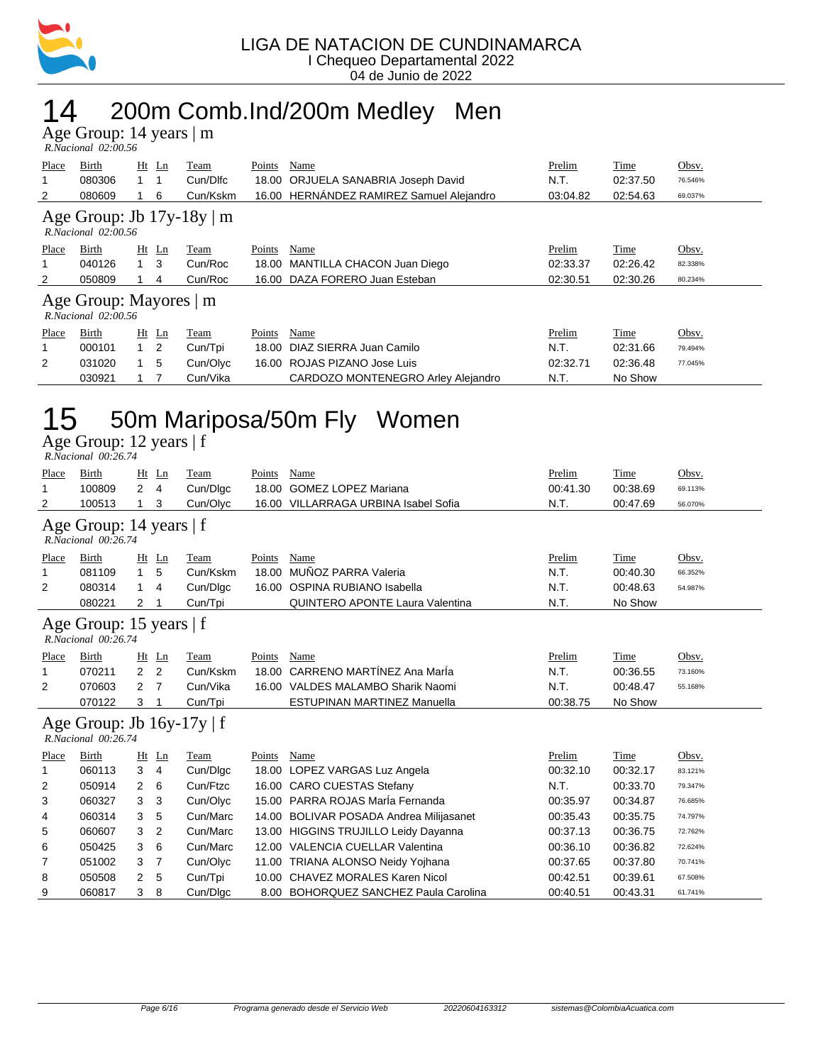

## 14 200m Comb.Ind/200m Medley Men

Age Group: 14 years | m

|       | R.Nacional 02:00.56 |    |          |                                        |               |            |         |
|-------|---------------------|----|----------|----------------------------------------|---------------|------------|---------|
| Place | Birth               | Ht | l'eam    | Points<br>Name                         | <b>Prelim</b> | m.<br>`ime | Obsv.   |
|       | กลกวาค              |    | Cun/Dlfc | 18.00 OR ILIFI A SANARRIA Joseph David | N             | 02:37.50   | 76.546% |

| 1100                                                     |        |     | $-$            | $1 \cdot \dots$ | 1 0111W | $\ldots$                                 | 1101111  | $\overline{1}$ | $\overline{\phantom{0}}$ |  |  |
|----------------------------------------------------------|--------|-----|----------------|-----------------|---------|------------------------------------------|----------|----------------|--------------------------|--|--|
| 1                                                        | 080306 |     |                | Cun/Dlfc        |         | 18.00 ORJUELA SANABRIA Joseph David      | N.T.     | 02:37.50       | 76.546%                  |  |  |
| 2                                                        | 080609 |     | 6              | Cun/Kskm        |         | 16.00 HERNÁNDEZ RAMIREZ Samuel Alejandro | 03:04.82 | 02:54.63       | 69.037%                  |  |  |
| Age Group: Jb $17y-18y \mid m$<br>$R. Nacional$ 02:00.56 |        |     |                |                 |         |                                          |          |                |                          |  |  |
| Place                                                    | Birth  |     | $Ht$ Ln        | Team            | Points  | Name                                     | Prelim   | Time           | Obsv.                    |  |  |
| 1                                                        | 040126 | 1 3 |                | Cun/Roc         |         | 18.00 MANTILLA CHACON Juan Diego         | 02:33.37 | 02:26.42       | 82.338%                  |  |  |
| 2                                                        | 050809 |     | 4              | Cun/Roc         |         | 16.00 DAZA FORERO Juan Esteban           | 02:30.51 | 02:30.26       | 80.234%                  |  |  |
| Age Group: Mayores   m<br>$R. Nacional$ 02:00.56         |        |     |                |                 |         |                                          |          |                |                          |  |  |
| <b>Place</b>                                             | Birth  |     | $Ht$ Ln        | Team            | Points  | Name                                     | Prelim   | <b>Time</b>    | Obsv.                    |  |  |
| 1                                                        | 000101 |     | $\overline{2}$ | Cun/Tpi         |         | 18.00 DIAZ SIERRA Juan Camilo            | N.T.     | 02:31.66       | 79.494%                  |  |  |
| 2                                                        | 031020 |     | 5              | Cun/Olyc        |         | 16.00 ROJAS PIZANO Jose Luis             | 02:32.71 | 02:36.48       | 77.045%                  |  |  |
|                                                          | 030921 |     |                | Cun/Vika        |         | CARDOZO MONTENEGRO Arley Alejandro       | N.T.     | No Show        |                          |  |  |

# 15 50m Mariposa/50m Fly Women

Age Group: 12 years | f  *R.Nacional 00:26.74* 

| Place                                          | Birth                                                    | Ht             | Ln             | Team     | Points | Name                                     | Prelim   | Time     | Obsv.   |  |  |
|------------------------------------------------|----------------------------------------------------------|----------------|----------------|----------|--------|------------------------------------------|----------|----------|---------|--|--|
| 1                                              | 100809                                                   | 2              | $\overline{4}$ | Cun/Dlgc | 18.00  | <b>GOMEZ LOPEZ Mariana</b>               | 00:41.30 | 00:38.69 | 69.113% |  |  |
| 2                                              | 100513                                                   | 1              | 3              | Cun/Olyc |        | 16.00 VILLARRAGA URBINA Isabel Sofia     | N.T.     | 00:47.69 | 56.070% |  |  |
| Age Group: 14 years   f<br>R.Nacional 00:26.74 |                                                          |                |                |          |        |                                          |          |          |         |  |  |
| Place                                          | Birth                                                    |                | Ht Ln          | Team     | Points | Name                                     | Prelim   | Time     | Obsv.   |  |  |
| 1                                              | 081109                                                   | 1              | 5              | Cun/Kskm | 18.00  | MUÑOZ PARRA Valeria                      | N.T.     | 00:40.30 | 66.352% |  |  |
| 2                                              | 080314                                                   | 1              | 4              | Cun/Dlgc | 16.00  | OSPINA RUBIANO Isabella                  | N.T.     | 00:48.63 | 54.987% |  |  |
|                                                | 080221                                                   | 2              |                | Cun/Tpi  |        | QUINTERO APONTE Laura Valentina          | N.T.     | No Show  |         |  |  |
|                                                | Age Group: 15 years   f<br>$R. Nacional$ 00:26.74        |                |                |          |        |                                          |          |          |         |  |  |
| Place                                          | Birth                                                    | Ht             | Ln             | Team     | Points | Name                                     | Prelim   | Time     | Obsv.   |  |  |
| 1                                              | 070211                                                   | $\overline{2}$ | 2              | Cun/Kskm | 18.00  | CARRENO MARTÍNEZ Ana María               | N.T.     | 00:36.55 | 73.160% |  |  |
| 2                                              | 070603                                                   | $\overline{2}$ | 7              | Cun/Vika |        | 16.00 VALDES MALAMBO Sharik Naomi        | N.T.     | 00:48.47 | 55.168% |  |  |
|                                                | 070122                                                   | 3              |                | Cun/Tpi  |        | <b>ESTUPINAN MARTINEZ Manuella</b>       | 00:38.75 | No Show  |         |  |  |
|                                                | Age Group: Jb $16y-17y \mid f$<br>$R. Nacional$ 00:26.74 |                |                |          |        |                                          |          |          |         |  |  |
| Place                                          | Birth                                                    | Ht             | $\mathbf{L}$ n | Team     | Points | Name                                     | Prelim   | Time     | Obsv.   |  |  |
| 1                                              | 060113                                                   | 3              | $\overline{4}$ | Cun/Dlgc | 18.00  | LOPEZ VARGAS Luz Angela                  | 00:32.10 | 00:32.17 | 83.121% |  |  |
| 2                                              | 050914                                                   | 2              | 6              | Cun/Ftzc |        | 16.00 CARO CUESTAS Stefany               | N.T.     | 00:33.70 | 79.347% |  |  |
| 3                                              | 060327                                                   | 3              | 3              | Cun/Olyc |        | 15.00 PARRA ROJAS MarÍa Fernanda         | 00:35.97 | 00:34.87 | 76.685% |  |  |
| 4                                              | 060314                                                   | 3              | 5              | Cun/Marc | 14.00  | <b>BOLIVAR POSADA Andrea Milijasanet</b> | 00:35.43 | 00:35.75 | 74.797% |  |  |
| 5                                              | 060607                                                   | 3              | 2              | Cun/Marc | 13.00  | <b>HIGGINS TRUJILLO Leidy Dayanna</b>    | 00:37.13 | 00:36.75 | 72.762% |  |  |
| 6                                              | 050425                                                   | 3              | 6              | Cun/Marc |        | 12.00 VALENCIA CUELLAR Valentina         | 00:36.10 | 00:36.82 | 72.624% |  |  |
| 7                                              | 051002                                                   | 3              | 7              | Cun/Olyc |        | 11.00 TRIANA ALONSO Neidy Yojhana        | 00:37.65 | 00:37.80 | 70.741% |  |  |
| 8                                              | 050508                                                   | 2              | 5              | Cun/Tpi  | 10.00  | <b>CHAVEZ MORALES Karen Nicol</b>        | 00:42.51 | 00:39.61 | 67.508% |  |  |
| 9                                              | 060817                                                   | 3              | 8              | Cun/Dlgc |        | 8.00 BOHORQUEZ SANCHEZ Paula Carolina    | 00:40.51 | 00:43.31 | 61.741% |  |  |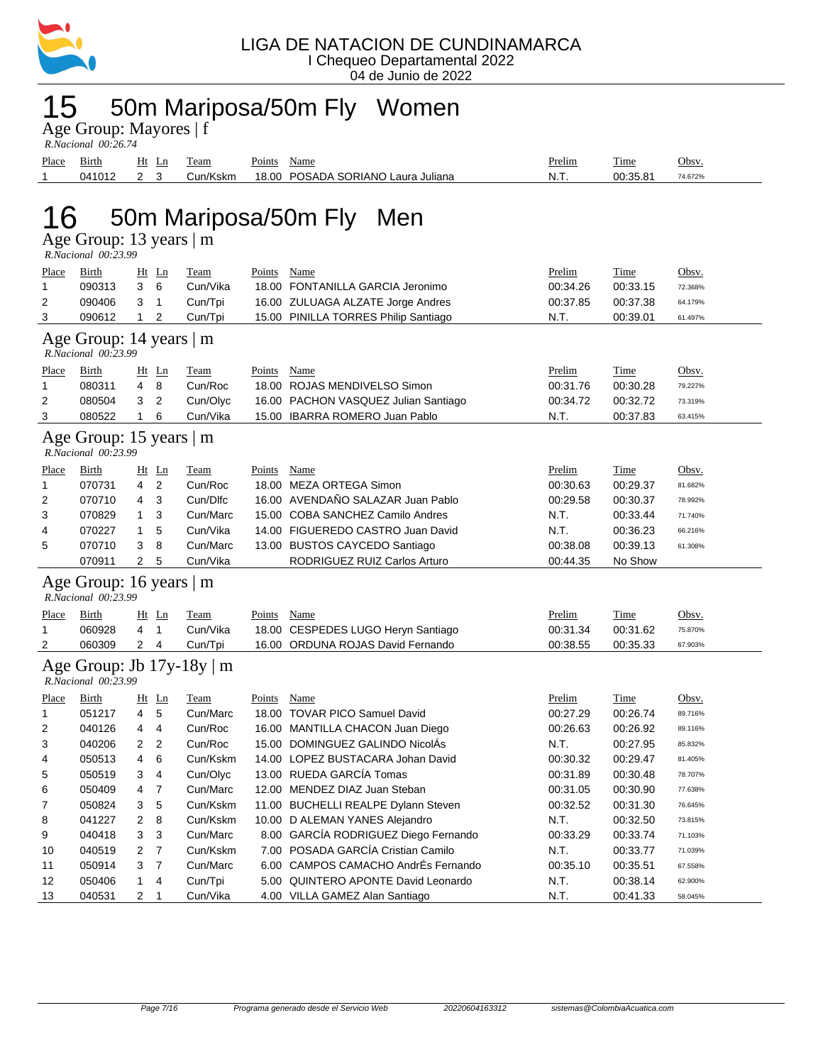

## 15 50m Mariposa/50m Fly Women

| Age Group: Mayores   f |  |
|------------------------|--|
| R Nacional $00.26$ 74  |  |

|       | K.Nacional 00:20.74 |            |          |                                    |        |             |         |  |  |  |  |  |  |
|-------|---------------------|------------|----------|------------------------------------|--------|-------------|---------|--|--|--|--|--|--|
| Place | <b>Birth</b>        | Ht<br>Ln   | Team     | Name<br>Points                     | Prelim | <b>Time</b> | Obsv.   |  |  |  |  |  |  |
|       | 041012              | <u>າ</u> ຈ | Cun/Kskm | 18.00 POSADA SORIANO Laura Juliana | N.T.   | 00:35.81    | 74.672% |  |  |  |  |  |  |
|       |                     |            |          |                                    |        |             |         |  |  |  |  |  |  |
|       | - -<br>.<br>- -     |            |          |                                    |        |             |         |  |  |  |  |  |  |

# 16 50m Mariposa/50m Fly Men

|  | R.Nacional 00:23.99 |
|--|---------------------|
|  |                     |

| Place                                          | Birth                                                | Ht Ln               | Team                      | Points | Name                                 | Prelim   | Time        | Obsv.   |  |  |  |
|------------------------------------------------|------------------------------------------------------|---------------------|---------------------------|--------|--------------------------------------|----------|-------------|---------|--|--|--|
| $\mathbf{1}$                                   | 090313                                               | 3<br>6              | Cun/Vika                  |        | 18.00 FONTANILLA GARCIA Jeronimo     | 00:34.26 | 00:33.15    | 72.368% |  |  |  |
| 2                                              | 090406                                               | 3<br>1              | Cun/Tpi                   |        | 16.00 ZULUAGA ALZATE Jorge Andres    | 00:37.85 | 00:37.38    | 64.179% |  |  |  |
| 3                                              | 090612                                               | 2<br>1              | Cun/Tpi                   |        | 15.00 PINILLA TORRES Philip Santiago | N.T.     | 00:39.01    | 61.497% |  |  |  |
| Age Group: 14 years   m<br>R.Nacional 00:23.99 |                                                      |                     |                           |        |                                      |          |             |         |  |  |  |
| Place                                          | Birth                                                | $Ht$ Ln             | Team                      | Points | Name                                 | Prelim   | Time        | Obsv.   |  |  |  |
| 1                                              | 080311                                               | 4<br>8              | Cun/Roc                   |        | 18.00 ROJAS MENDIVELSO Simon         | 00:31.76 | 00:30.28    | 79.227% |  |  |  |
| 2                                              | 080504                                               | 3<br>2              | Cun/Olyc                  |        | 16.00 PACHON VASQUEZ Julian Santiago | 00:34.72 | 00:32.72    | 73.319% |  |  |  |
| 3                                              | 080522                                               | $\mathbf{1}$<br>6   | Cun/Vika                  |        | 15.00 IBARRA ROMERO Juan Pablo       | N.T.     | 00:37.83    | 63.415% |  |  |  |
|                                                | Age Group: 15 years $\vert$ m<br>R.Nacional 00:23.99 |                     |                           |        |                                      |          |             |         |  |  |  |
| <b>Place</b>                                   | <b>Birth</b>                                         | $Ht$ Ln             | <b>Team</b>               | Points | <b>Name</b>                          | Prelim   | <b>Time</b> | Obsv.   |  |  |  |
| -1                                             | 070731                                               | 4<br>$\overline{2}$ | Cun/Roc                   |        | 18.00 MEZA ORTEGA Simon              | 00:30.63 | 00:29.37    | 81.682% |  |  |  |
| 2                                              | 070710                                               | 3<br>4              | Cun/Dlfc                  |        | 16.00 AVENDAÑO SALAZAR Juan Pablo    | 00:29.58 | 00:30.37    | 78.992% |  |  |  |
| 3                                              | 070829                                               | 3<br>1              | Cun/Marc                  |        | 15.00 COBA SANCHEZ Camilo Andres     | N.T.     | 00:33.44    | 71.740% |  |  |  |
| 4                                              | 070227                                               | 5<br>1              | Cun/Vika                  |        | 14.00 FIGUEREDO CASTRO Juan David    | N.T.     | 00:36.23    | 66.216% |  |  |  |
| 5                                              | 070710                                               | 3<br>8              | Cun/Marc                  |        | 13.00 BUSTOS CAYCEDO Santiago        | 00:38.08 | 00:39.13    | 61.308% |  |  |  |
|                                                | 070911                                               | $\overline{2}$<br>5 | Cun/Vika                  |        | RODRIGUEZ RUIZ Carlos Arturo         | 00:44.35 | No Show     |         |  |  |  |
|                                                | Age Group: 16 years   m<br>R.Nacional 00:23.99       |                     |                           |        |                                      |          |             |         |  |  |  |
| Place                                          | Birth                                                | $Ht$ Ln             | <b>Team</b>               | Points | Name                                 | Prelim   | Time        | Obsv.   |  |  |  |
| 1                                              | 060928                                               | $\mathbf{1}$<br>4   | Cun/Vika                  |        | 18.00 CESPEDES LUGO Heryn Santiago   | 00:31.34 | 00:31.62    | 75.870% |  |  |  |
| 2                                              | 060309                                               | $\overline{2}$<br>4 | Cun/Tpi                   |        | 16.00 ORDUNA ROJAS David Fernando    | 00:38.55 | 00:35.33    | 67.903% |  |  |  |
|                                                | R.Nacional 00:23.99                                  |                     | Age Group: Jb 17y-18y   m |        |                                      |          |             |         |  |  |  |
| Place                                          | Birth                                                | $Ht$ Ln             | <b>Team</b>               | Points | Name                                 | Prelim   | <b>Time</b> | Obsv.   |  |  |  |
| 1                                              | 051217                                               | 5<br>4              | Cun/Marc                  |        | 18.00 TOVAR PICO Samuel David        | 00:27.29 | 00:26.74    | 89.716% |  |  |  |
| $\overline{2}$                                 | 040126                                               | 4<br>4              | Cun/Roc                   |        | 16.00 MANTILLA CHACON Juan Diego     | 00:26.63 | 00:26.92    | 89.116% |  |  |  |
| 3                                              | 040206                                               | $\overline{2}$<br>2 | Cun/Roc                   |        | 15.00 DOMINGUEZ GALINDO NicolAs      | N.T.     | 00:27.95    | 85.832% |  |  |  |
| 4                                              | 050513                                               | 4<br>6              | Cun/Kskm                  |        | 14.00 LOPEZ BUSTACARA Johan David    | 00:30.32 | 00:29.47    | 81.405% |  |  |  |
| 5                                              | 050519                                               | 3<br>$\overline{4}$ | Cun/Olyc                  |        | 13.00 RUEDA GARCÍA Tomas             | 00:31.89 | 00:30.48    | 78.707% |  |  |  |
| 6                                              | 050409                                               | $\overline{7}$<br>4 | Cun/Marc                  |        | 12.00 MENDEZ DIAZ Juan Steban        | 00:31.05 | 00:30.90    | 77.638% |  |  |  |
| 7                                              | 050824                                               | 5<br>3              | Cun/Kskm                  |        | 11.00 BUCHELLI REALPE Dylann Steven  | 00:32.52 | 00:31.30    | 76.645% |  |  |  |
| 8                                              | 041227                                               | 2<br>8              | Cun/Kskm                  |        | 10.00 D ALEMAN YANES Alejandro       | N.T.     | 00:32.50    | 73.815% |  |  |  |
| 9                                              | 040418                                               | 3<br>3              | Cun/Marc                  |        | 8.00 GARCÍA RODRIGUEZ Diego Fernando | 00:33.29 | 00:33.74    | 71.103% |  |  |  |
| 10                                             | 040519                                               | 2<br>$\overline{7}$ | Cun/Kskm                  |        | 7.00 POSADA GARCÍA Cristian Camilo   | N.T.     | 00:33.77    | 71.039% |  |  |  |
| 11                                             | 050914                                               | $\overline{7}$<br>3 | Cun/Marc                  |        | 6.00 CAMPOS CAMACHO AndrÉs Fernando  | 00:35.10 | 00:35.51    | 67.558% |  |  |  |
| 12                                             | 050406                                               | 1<br>$\overline{4}$ | Cun/Tpi                   |        | 5.00 QUINTERO APONTE David Leonardo  | N.T.     | 00:38.14    | 62.900% |  |  |  |
| 13                                             | 040531                                               | 2<br>$\mathbf{1}$   | Cun/Vika                  |        | 4.00 VILLA GAMEZ Alan Santiago       | N.T.     | 00:41.33    | 58.045% |  |  |  |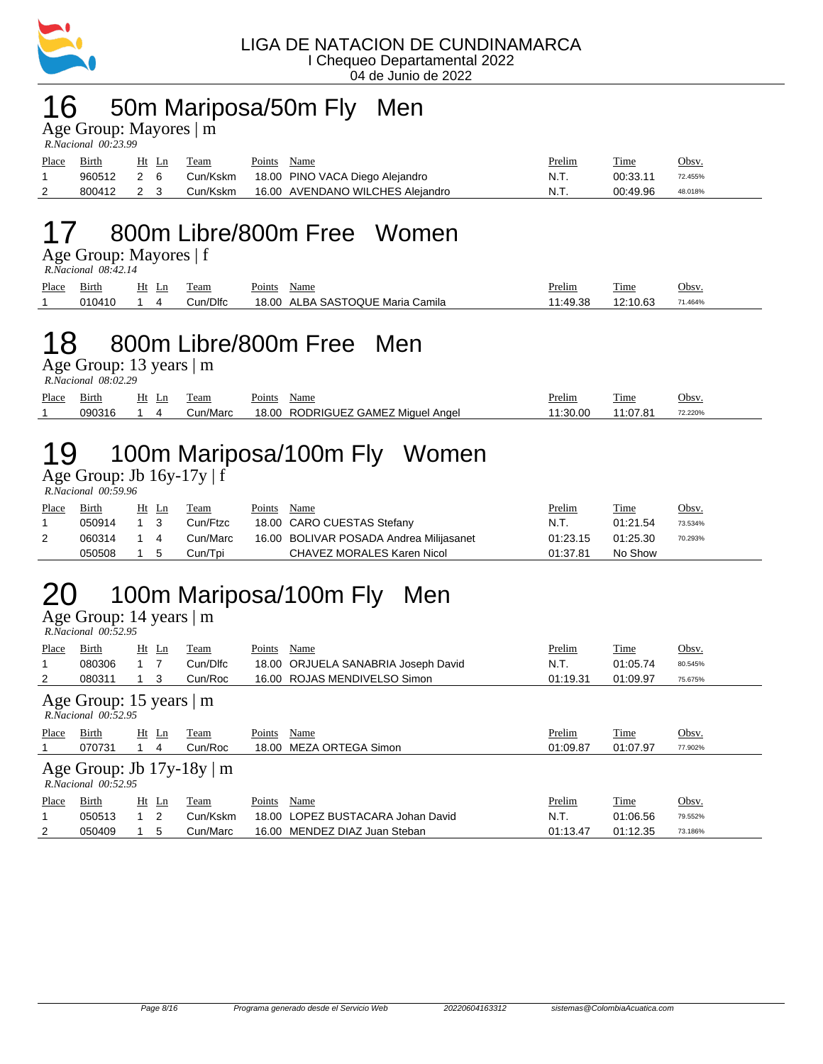

#### 16 50m Mariposa/50m Fly Men

Age Group: Mayores | m

| R.Nacional 00:23.99 |            |  |       |          |             |                                          |        |             |         |  |  |  |
|---------------------|------------|--|-------|----------|-------------|------------------------------------------|--------|-------------|---------|--|--|--|
| Place               | Birth      |  | Ht Ln | Team     | Points Name |                                          | Prelim | <b>Time</b> | Obsv.   |  |  |  |
|                     | 960512 2 6 |  |       |          |             | Cun/Kskm 18.00 PINO VACA Diego Alejandro | N.T.   | 00:33.11    | 72.455% |  |  |  |
| 2                   | 800412 2 3 |  |       | Cun/Kskm |             | 16.00 AVENDANO WILCHES Alejandro         | N.T.   | 00:49.96    | 48.018% |  |  |  |

## 17 800m Libre/800m Free Women

Age Group: Mayores | f

 *R.Nacional 08:42.14* 

| Place | $\sim$<br>Birth | Ht<br>Ln | eam             | $\mathbf{r}$<br>Points | Name                                      | <u>Prelim</u> | Time     | Obsv.   |
|-------|-----------------|----------|-----------------|------------------------|-------------------------------------------|---------------|----------|---------|
|       | 010410          |          | <b>Cun/Dlfc</b> | 18.00                  | \ SASTOQUE Maria<br><b>ALBA</b><br>Camila | .49.38        | 12:10.63 | 71.464% |

#### 18 800m Libre/800m Free Men

Age Group: 13 years | m

 *R.Nacional 08:02.29* 

| Place | $\sim$<br>Birth       | Ht<br>Ln | eam          | $\mathbf{r}$<br>Points | Name                              | $\cdot$<br><b>Prelim</b> | m.<br>1'ıme        | Obsv    |
|-------|-----------------------|----------|--------------|------------------------|-----------------------------------|--------------------------|--------------------|---------|
|       | <b>NGU316</b><br>uaua |          | Marc<br>Jun/ | 18.00                  | RODRIGUEZ GAMEZ<br>Ange<br>Miauel | $\Omega$<br>∴30          | .07.04<br>ω.<br>د. | 72.220% |

# 19 100m Mariposa/100m Fly Women

Age Group: Jb  $16y-17y \mid f$  *R.Nacional 00:59.96* 

| Place | <b>Birth</b> |     | Ht Ln | Team     | Points | Name                                    | <b>Prelim</b> | <u>Time</u> | <u>Obsv.</u> |
|-------|--------------|-----|-------|----------|--------|-----------------------------------------|---------------|-------------|--------------|
|       | 050914       | 1 3 |       | Cun/Ftzc |        | 18.00 CARO CUESTAS Stefany              | N.T.          | 01:21.54    | 73.534%      |
| 2     | 060314       | 14  |       | Cun/Marc |        | 16.00 BOLIVAR POSADA Andrea Milijasanet | 01:23.15      | 01:25.30    | 70.293%      |
|       | 050508       | 1 5 |       | Cun/Tpi  |        | CHAVEZ MORALES Karen Nicol              | 01:37.81      | No Show     |              |

# 20 100m Mariposa/100m Fly Men

Age Group: 14 years | m  *R.Nacional 00:52.95* 

| Place<br>1<br>2                                            | Birth<br>080306<br>080311 | $Ht$ Ln<br>1 7<br>-3 | Team<br>Cun/Dlfc<br>Cun/Roc | Points | Name<br>18.00 ORJUELA SANABRIA Joseph David<br>16.00 ROJAS MENDIVELSO Simon | Prelim<br>N.T.<br>01:19.31 | Time<br>01:05.74<br>01:09.97 | Obsv.<br>80.545%<br>75.675% |  |  |  |
|------------------------------------------------------------|---------------------------|----------------------|-----------------------------|--------|-----------------------------------------------------------------------------|----------------------------|------------------------------|-----------------------------|--|--|--|
| Age Group: 15 years $ m $<br>$R. Nacional$ $00:52.95$      |                           |                      |                             |        |                                                                             |                            |                              |                             |  |  |  |
| Place                                                      | Birth                     | Ht Ln                | Team                        | Points | Name                                                                        | Prelim                     | Time                         | Obsv.                       |  |  |  |
|                                                            | 070731                    | 4                    | Cun/Roc                     |        | 18.00 MEZA ORTEGA Simon                                                     | 01:09.87                   | 01:07.97                     | 77.902%                     |  |  |  |
| Age Group: Jb $17y-18y \mid m$<br>$R. Nacional$ $00:52.95$ |                           |                      |                             |        |                                                                             |                            |                              |                             |  |  |  |
| Place                                                      | Birth                     | $Ht$ Ln              | Team                        | Points | Name                                                                        | Prelim                     | Time                         | Obsv.                       |  |  |  |
|                                                            | 050513                    | $1\quad 2$           | Cun/Kskm                    |        | 18.00 LOPEZ BUSTACARA Johan David                                           | N.T.                       | 01:06.56                     | 79.552%                     |  |  |  |
| 2                                                          | 050409                    | 5                    | Cun/Marc                    |        | 16.00 MENDEZ DIAZ Juan Steban                                               | 01:13.47                   | 01:12.35                     | 73.186%                     |  |  |  |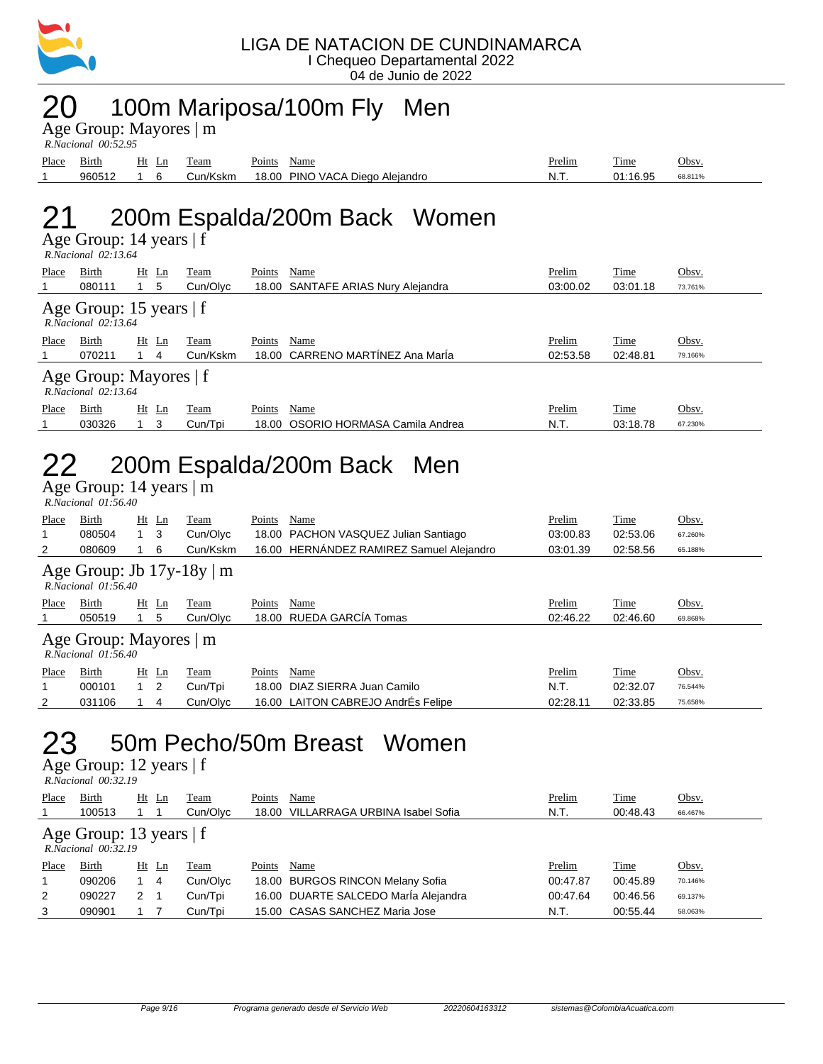

#### 20 100m Mariposa/100m Fly Men

Age Group: Mayores | m

| R.Nacional 00:52.95 |        |       |          |        |                                 |        |          |         |  |  |  |
|---------------------|--------|-------|----------|--------|---------------------------------|--------|----------|---------|--|--|--|
| Place               | Birth  | Ht Ln | Team     | Points | Name                            | Prelim | Time     | Obsv    |  |  |  |
|                     | 960512 |       | Cun/Kskm |        | 18.00 PINO VACA Diego Alejandro | - N.T. | 01:16.95 | 68.811% |  |  |  |

# 21 200m Espalda/200m Back Women

Age Group: 14 years | f

| $R. Nacional$ 02:13.64                              |              |         |                |          |        |                                    |          |          |         |  |  |
|-----------------------------------------------------|--------------|---------|----------------|----------|--------|------------------------------------|----------|----------|---------|--|--|
| Place                                               | <b>Birth</b> | $Ht$ Ln |                | Team     | Points | Name                               | Prelim   | Time     | Obsv.   |  |  |
|                                                     | 080111       |         | 5              | Cun/Olvc |        | 18.00 SANTAFE ARIAS Nury Alejandra | 03:00.02 | 03:01.18 | 73.761% |  |  |
| Age Group: 15 years $ f $<br>$R. Nacional$ 02:13.64 |              |         |                |          |        |                                    |          |          |         |  |  |
| Place                                               | Birth        | $Ht$ Ln |                | Team     | Points | Name                               | Prelim   | Time     | Obsv.   |  |  |
|                                                     | 070211       |         | 4              | Cun/Kskm |        | 18.00 CARRENO MARTINEZ Ana Maria   | 02:53.58 | 02:48.81 | 79.166% |  |  |
| Age Group: Mayores   f<br>$R. Nacional$ 02:13.64    |              |         |                |          |        |                                    |          |          |         |  |  |
| Place                                               | Birth        | Ht      | $\mathbf{L}$ n | Team     | Points | Name                               | Prelim   | Time     | Obsv.   |  |  |
|                                                     | 030326       |         | 3              | Cun/Tpi  | 18.00  | OSORIO HORMASA Camila Andrea       | N.T.     | 03:18.78 | 67.230% |  |  |

## 22 200m Espalda/200m Back Men

 $\overline{Age}$  Group: 14 years  $\overline{\phantom{a}}$  m  *R.Nacional 01:56.40* 

| Place                                                      | Birth        | $Ht$ Ln     |    | Team     | Points | Name                                     | Prelim   | Time     | Obsv.   |  |  |
|------------------------------------------------------------|--------------|-------------|----|----------|--------|------------------------------------------|----------|----------|---------|--|--|
| 1                                                          | 080504       | $1 \quad 3$ |    | Cun/Olyc |        | 18.00 PACHON VASQUEZ Julian Santiago     | 03:00.83 | 02:53.06 | 67.260% |  |  |
| 2                                                          | 080609       |             | -6 | Cun/Kskm |        | 16.00 HERNÁNDEZ RAMIREZ Samuel Alejandro | 03:01.39 | 02:58.56 | 65.188% |  |  |
| Age Group: Jb $17y-18y \mid m$<br>$R. Nacional$ $01:56.40$ |              |             |    |          |        |                                          |          |          |         |  |  |
| Place                                                      | Birth        | $Ht$ Ln     |    | Team     | Points | Name                                     | Prelim   | Time     | Obsv.   |  |  |
|                                                            | 050519       |             | -5 | Cun/Olvc |        | 18.00 RUEDA GARCÍA Tomas                 | 02:46.22 | 02:46.60 | 69.868% |  |  |
| Age Group: Mayores   m<br>$R. Nacional$ $01:56.40$         |              |             |    |          |        |                                          |          |          |         |  |  |
| Place                                                      | <b>Birth</b> | $Ht$ Ln     |    | Team     | Points | Name                                     | Prelim   | Time     | Obsv.   |  |  |
| 1                                                          | 000101       | $1\quad 2$  |    | Cun/Tpi  | 18.00  | DIAZ SIERRA Juan Camilo                  | N.T.     | 02:32.07 | 76.544% |  |  |
| $\overline{2}$                                             | 031106       |             | 4  | Cun/Olvc |        | 16.00 LAITON CABREJO AndrÉs Felipe       | 02:28.11 | 02:33.85 | 75.658% |  |  |

## 23 50m Pecho/50m Breast Women

| R.Nacional 00:32.19 |  |
|---------------------|--|

| Place                                            | Birth  | Ht    | <u>Ln</u> | <b>Team</b> | Points | Name                                 | Prelim   | Time     | Obsv.   |  |  |
|--------------------------------------------------|--------|-------|-----------|-------------|--------|--------------------------------------|----------|----------|---------|--|--|
|                                                  | 100513 |       |           | Cun/Olvc    |        | 18.00 VILLARRAGA URBINA Isabel Sofia | N.T.     | 00:48.43 | 66.467% |  |  |
| Age Group: 13 years $ f $<br>R.Nacional 00:32.19 |        |       |           |             |        |                                      |          |          |         |  |  |
| Place                                            | Birth  | Ht Ln |           | <b>Team</b> | Points | Name                                 | Prelim   | Time     | Obsv.   |  |  |
|                                                  | 090206 |       | 4         | Cun/Olyc    |        | 18.00 BURGOS RINCON Melany Sofia     | 00:47.87 | 00:45.89 | 70.146% |  |  |
| 2                                                | 090227 | 2     |           | Cun/Tpi     |        | 16.00 DUARTE SALCEDO María Alejandra | 00:47.64 | 00:46.56 | 69.137% |  |  |
| 3                                                | 090901 |       |           | Cun/Tpi     |        | 15.00 CASAS SANCHEZ Maria Jose       | N.T.     | 00:55.44 | 58.063% |  |  |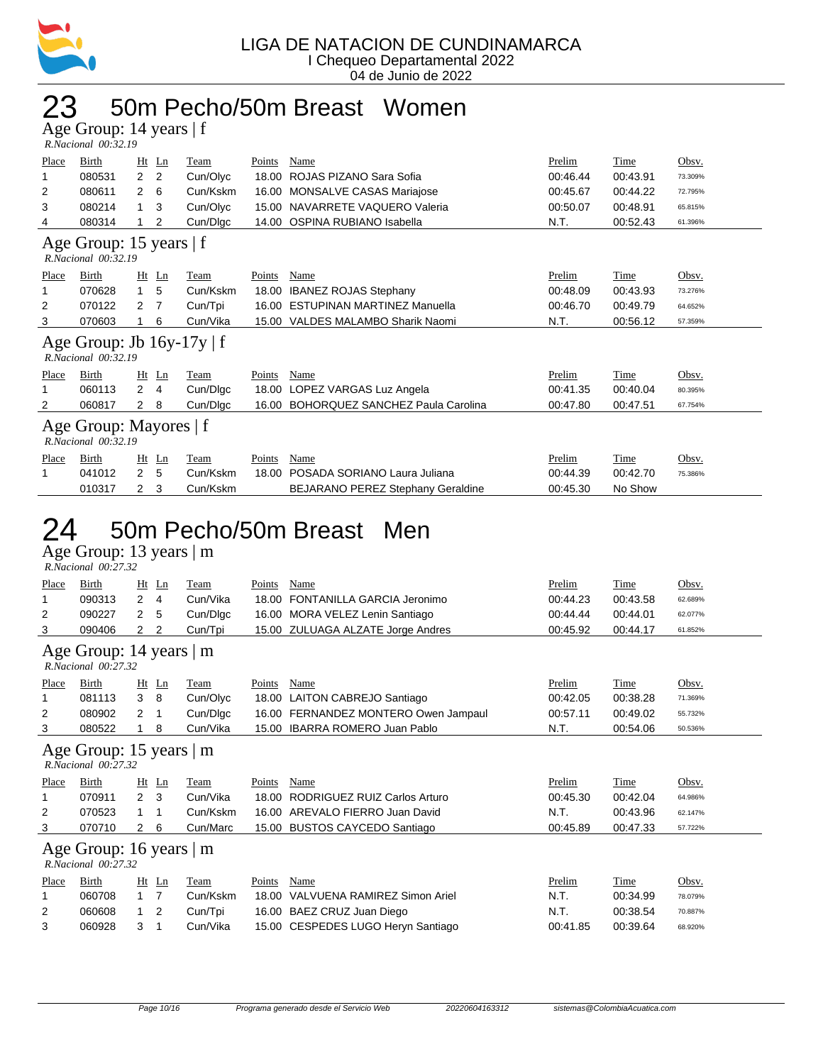

## 23 50m Pecho/50m Breast Women

Age Group: 14 years | f  *R.Nacional 00:32.19* 

| Place                                               | Birth                                                 | Ht             | Ln             | Team     | Points | Name                                     | Prelim   | <b>Time</b> | Obsv.   |  |  |
|-----------------------------------------------------|-------------------------------------------------------|----------------|----------------|----------|--------|------------------------------------------|----------|-------------|---------|--|--|
| 1                                                   | 080531                                                | $\overline{2}$ | $\overline{2}$ | Cun/Olyc | 18.00  | ROJAS PIZANO Sara Sofia                  | 00:46.44 | 00:43.91    | 73.309% |  |  |
| 2                                                   | 080611                                                | 2              | 6              | Cun/Kskm | 16.00  | MONSALVE CASAS Mariajose                 | 00:45.67 | 00:44.22    | 72.795% |  |  |
| 3                                                   | 080214                                                | 1              | 3              | Cun/Olyc | 15.00  | NAVARRETE VAQUERO Valeria                | 00:50.07 | 00:48.91    | 65.815% |  |  |
| 4                                                   | 080314                                                |                | 2              | Cun/Dlgc | 14.00  | OSPINA RUBIANO Isabella                  | N.T.     | 00:52.43    | 61.396% |  |  |
| Age Group: 15 years   f<br>$R. Nacional$ $00:32.19$ |                                                       |                |                |          |        |                                          |          |             |         |  |  |
| Place                                               | Birth                                                 |                | $Ht$ Ln        | Team     | Points | Name                                     | Prelim   | Time        | Obsv.   |  |  |
| 1                                                   | 070628                                                | $\mathbf{1}$   | 5              | Cun/Kskm | 18.00  | <b>IBANEZ ROJAS Stephany</b>             | 00:48.09 | 00:43.93    | 73.276% |  |  |
| 2                                                   | 070122                                                | 2              | 7              | Cun/Tpi  | 16.00  | <b>ESTUPINAN MARTINEZ Manuella</b>       | 00:46.70 | 00:49.79    | 64.652% |  |  |
| 3                                                   | 070603                                                |                | 6              | Cun/Vika | 15.00  | VALDES MALAMBO Sharik Naomi              | N.T.     | 00:56.12    | 57.359% |  |  |
|                                                     | Age Group: Jb $16y-17y \mid f$<br>R.Nacional 00:32.19 |                |                |          |        |                                          |          |             |         |  |  |
| Place                                               | Birth                                                 |                | $Ht$ Ln        | Team     | Points | Name                                     | Prelim   | Time        | Obsv.   |  |  |
|                                                     | 060113                                                | $\overline{2}$ | 4              | Cun/Digc |        | 18.00 LOPEZ VARGAS Luz Angela            | 00:41.35 | 00:40.04    | 80.395% |  |  |
| 2                                                   | 060817                                                | $2 \quad 8$    |                | Cun/Digc | 16.00  | <b>BOHORQUEZ SANCHEZ Paula Carolina</b>  | 00:47.80 | 00:47.51    | 67.754% |  |  |
|                                                     | Age Group: Mayores   f<br>$R. Nacional$ $00:32.19$    |                |                |          |        |                                          |          |             |         |  |  |
| Place                                               | Birth                                                 |                | $Ht$ Ln        | Team     | Points | Name                                     | Prelim   | Time        | Obsv.   |  |  |
|                                                     | 041012                                                | $\overline{2}$ | 5              | Cun/Kskm | 18.00  | POSADA SORIANO Laura Juliana             | 00:44.39 | 00:42.70    | 75.386% |  |  |
|                                                     | 010317                                                | 2              | 3              | Cun/Kskm |        | <b>BEJARANO PEREZ Stephany Geraldine</b> | 00:45.30 | No Show     |         |  |  |

## 50m Pecho/50m Breast Men

| $R. Nacional$ 00:27.32 |            |        |
|------------------------|------------|--------|
| Place Rirth            | Ht In Team | Points |

| Place                         | Birth               | $Ht$ Ln                   | Team     | Points | Name                                 | Prelim   | Time        | Obsv.   |  |  |  |
|-------------------------------|---------------------|---------------------------|----------|--------|--------------------------------------|----------|-------------|---------|--|--|--|
| 1                             | 090313              | $\mathbf{2}^{\circ}$<br>4 | Cun/Vika | 18.00  | FONTANILLA GARCIA Jeronimo           | 00:44.23 | 00:43.58    | 62.689% |  |  |  |
| 2                             | 090227              | 5<br>2                    | Cun/Digc |        | 16.00 MORA VELEZ Lenin Santiago      | 00:44.44 | 00:44.01    | 62.077% |  |  |  |
| 3                             | 090406              | 2<br>$\mathbf{2}^{\circ}$ | Cun/Tpi  |        | 15.00 ZULUAGA ALZATE Jorge Andres    | 00:45.92 | 00:44.17    | 61.852% |  |  |  |
| Age Group: 14 years   m       |                     |                           |          |        |                                      |          |             |         |  |  |  |
|                               | R.Nacional 00:27.32 |                           |          |        |                                      |          |             |         |  |  |  |
| Place                         | Birth               | $Ht$ Ln                   | Team     | Points | Name                                 | Prelim   | Time        | Obsv.   |  |  |  |
|                               | 081113              | 3<br>- 8                  | Cun/Olyc | 18.00  | LAITON CABREJO Santiago              | 00:42.05 | 00:38.28    | 71.369% |  |  |  |
| 2                             | 080902              | 2<br>-1                   | Cun/Digc |        | 16.00 FERNANDEZ MONTERO Owen Jampaul | 00:57.11 | 00:49.02    | 55.732% |  |  |  |
| 3                             | 080522              | 8                         | Cun/Vika |        | 15.00 IBARRA ROMERO Juan Pablo       | N.T.     | 00:54.06    | 50.536% |  |  |  |
| Age Group: 15 years $ m $     |                     |                           |          |        |                                      |          |             |         |  |  |  |
|                               | R.Nacional 00:27.32 |                           |          |        |                                      |          |             |         |  |  |  |
| <b>Place</b>                  | Birth               | $Ht$ Ln                   | Team     | Points | Name                                 | Prelim   | <b>Time</b> | Obsv.   |  |  |  |
|                               | 070911              | 2 <sub>3</sub>            | Cun/Vika | 18.00  | RODRIGUEZ RUIZ Carlos Arturo         | 00:45.30 | 00:42.04    | 64.986% |  |  |  |
| 2                             | 070523              | -1                        | Cun/Kskm |        | 16.00 AREVALO FIERRO Juan David      | N.T.     | 00:43.96    | 62.147% |  |  |  |
| 3                             | 070710              | $2\quad 6$                | Cun/Marc |        | 15.00 BUSTOS CAYCEDO Santiago        | 00:45.89 | 00:47.33    | 57.722% |  |  |  |
| Age Group: 16 years $\vert$ m |                     |                           |          |        |                                      |          |             |         |  |  |  |
|                               |                     |                           |          |        |                                      |          |             |         |  |  |  |
|                               | R.Nacional 00:27.32 |                           |          |        |                                      |          |             |         |  |  |  |
| Place                         | Birth               | $Ht$ Ln                   | Team     | Points | Name                                 | Prelim   | Time        | Obsv.   |  |  |  |

| 060708     |            | Cun/Kskm | 18.00 VALVUENA RAMIREZ Simon Ariel | - N.T. | 00:34.99             | 78.079% |
|------------|------------|----------|------------------------------------|--------|----------------------|---------|
| 060608     | $1\quad 2$ | Cun/Tpi  | 16.00 BAEZ CRUZ Juan Diego         | -N.T.  | 00:38.54             | 70.887% |
| 060928 3 1 |            | Cun/Vika | 15.00 CESPEDES LUGO Heryn Santiago |        | 00:39.64<br>00:41.85 | 68.920% |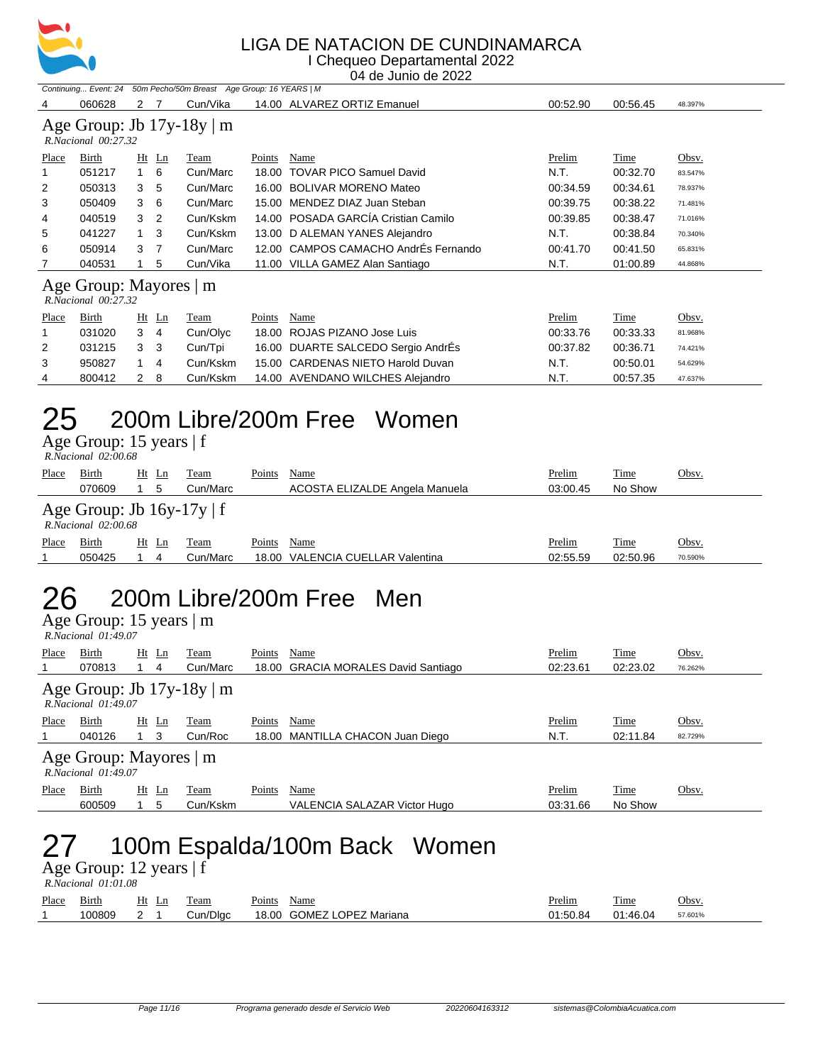

#### LIGA DE NATACION DE CUNDINAMARCA I Chequeo Departamental 2022

04 de Junio de 2022

|                                                       | Continuing Event: 24                          |    |    | 50m Pecho/50m Breast Age Group: 16 YEARS   M |               |                                    |          |             |         |  |  |
|-------------------------------------------------------|-----------------------------------------------|----|----|----------------------------------------------|---------------|------------------------------------|----------|-------------|---------|--|--|
| 4                                                     | 060628                                        | 2  |    | Cun/Vika                                     |               | 14.00 ALVAREZ ORTIZ Emanuel        | 00:52.90 | 00:56.45    | 48.397% |  |  |
| Age Group: Jb $17y-18y \mid m$<br>R.Nacional 00:27.32 |                                               |    |    |                                              |               |                                    |          |             |         |  |  |
| Place                                                 | Birth                                         | Ht | Ln | Team                                         | Points        | Name                               | Prelim   | Time        | Obsv.   |  |  |
|                                                       | 051217                                        | 1  | 6  | Cun/Marc                                     | 18.00         | <b>TOVAR PICO Samuel David</b>     | N.T.     | 00:32.70    | 83.547% |  |  |
| 2                                                     | 050313                                        | 3  | 5  | Cun/Marc                                     | 16.00         | <b>BOLIVAR MORENO Mateo</b>        | 00:34.59 | 00:34.61    | 78.937% |  |  |
| 3                                                     | 050409                                        | 3  | 6  | Cun/Marc                                     | 15.00         | MENDEZ DIAZ Juan Steban            | 00:39.75 | 00:38.22    | 71.481% |  |  |
| 4                                                     | 040519                                        | 3  | 2  | Cun/Kskm                                     | 14.00         | POSADA GARCÍA Cristian Camilo      | 00:39.85 | 00:38.47    | 71.016% |  |  |
| 5                                                     | 041227                                        |    | 3  | Cun/Kskm                                     | 13.00         | D ALEMAN YANES Alejandro           | N.T.     | 00:38.84    | 70.340% |  |  |
| 6                                                     | 050914                                        | 3  | 7  | Cun/Marc                                     | 12.00         | CAMPOS CAMACHO AndrÉs Fernando     | 00:41.70 | 00:41.50    | 65.831% |  |  |
|                                                       | 040531                                        |    | 5  | Cun/Vika                                     | 11.00         | VILLA GAMEZ Alan Santiago          | N.T.     | 01:00.89    | 44.868% |  |  |
|                                                       | Age Group: Mayores   m<br>R.Nacional 00:27.32 |    |    |                                              |               |                                    |          |             |         |  |  |
| Place                                                 | <b>Birth</b>                                  | Ht | Ln | <b>Team</b>                                  | <b>Points</b> | <b>Name</b>                        | Prelim   | <b>Time</b> | Obsv.   |  |  |
|                                                       | 031020                                        | 3  | 4  | Cun/Olyc                                     | 18.00         | ROJAS PIZANO Jose Luis             | 00:33.76 | 00:33.33    | 81.968% |  |  |
| 2                                                     | 031215                                        | 3  | 3  | Cun/Tpi                                      | 16.00         | DUARTE SALCEDO Sergio AndrEs       | 00:37.82 | 00:36.71    | 74.421% |  |  |
| 3                                                     | 950827                                        |    | 4  | Cun/Kskm                                     | 15.00         | <b>CARDENAS NIETO Harold Duvan</b> | N.T.     | 00:50.01    | 54.629% |  |  |
| 4                                                     | 800412                                        | 2  | 8  | Cun/Kskm                                     |               | 14.00 AVENDANO WILCHES Alejandro   | N.T.     | 00:57.35    | 47.637% |  |  |

## 25 200m Libre/200m Free Women

Age Group: 15 years | f

|       | R.Nacional 02:00.68                                                    |    |    |          |        |                                  |          |          |         |  |  |  |
|-------|------------------------------------------------------------------------|----|----|----------|--------|----------------------------------|----------|----------|---------|--|--|--|
| Place | Birth                                                                  | Ht | Ln | Team     | Points | Name                             | Prelim   | Time     | Obsv.   |  |  |  |
|       | 070609                                                                 |    | 5  | Cun/Marc |        | ACOSTA ELIZALDE Angela Manuela   | 03:00.45 | No Show  |         |  |  |  |
|       | Age Group: Jb $16y-17y \mid f$<br>$R. Nacional$ $02:00.68$             |    |    |          |        |                                  |          |          |         |  |  |  |
| Place | Prelim<br>Time<br>Obsv.<br>Name<br>Birth<br>Points<br>Team<br>Ht<br>Ln |    |    |          |        |                                  |          |          |         |  |  |  |
|       | 050425                                                                 |    | 4  | Cun/Marc |        | 18.00 VALENCIA CUELLAR Valentina | 02:55.59 | 02:50.96 | 70.590% |  |  |  |
|       |                                                                        |    |    |          |        |                                  |          |          |         |  |  |  |

#### 26 200m Libre/200m Free Men

Age Group: 15 years | m

| $R. Nacional$ $01:49.07$                                   |        |          |             |        |                                     |          |             |         |  |  |  |
|------------------------------------------------------------|--------|----------|-------------|--------|-------------------------------------|----------|-------------|---------|--|--|--|
| Place                                                      | Birth  | Ht<br>Ln | <u>Team</u> | Points | Name                                | Prelim   | <b>Time</b> | Obsv.   |  |  |  |
|                                                            | 070813 | 4        | Cun/Marc    |        | 18.00 GRACIA MORALES David Santiago | 02:23.61 | 02:23.02    | 76.262% |  |  |  |
| Age Group: Jb $17y-18y \mid m$<br>$R. Nacional$ $01:49.07$ |        |          |             |        |                                     |          |             |         |  |  |  |
| Place                                                      | Birth  | $Ht$ Ln  | Team        | Points | Name                                | Prelim   | Time        | Obsv.   |  |  |  |
|                                                            | 040126 | 1 3      | Cun/Roc     |        | 18.00 MANTILLA CHACON Juan Diego    | N.T.     | 02:11.84    | 82.729% |  |  |  |
| Age Group: Mayores   m<br>$R. Nacional$ $01:49.07$         |        |          |             |        |                                     |          |             |         |  |  |  |
| Place                                                      | Birth  | Ht Ln    | Team        | Points | Name                                | Prelim   | Time        | Obsv.   |  |  |  |
|                                                            | 600509 | 5        | Cun/Kskm    |        | VALENCIA SALAZAR Victor Hugo        | 03:31.66 | No Show     |         |  |  |  |

## 27 100m Espalda/100m Back Women

|       | R.Nacional 01:01.08 |       |          |                           |               |             |         |  |  |  |  |  |
|-------|---------------------|-------|----------|---------------------------|---------------|-------------|---------|--|--|--|--|--|
| Place | Birth               | Ht Ln | Team     | Points<br>Name            | <u>Prelim</u> | <b>Time</b> | Obsv.   |  |  |  |  |  |
|       | 100809              |       | Cun/Dlac | 18.00 GOMEZ LOPEZ Mariana | 01:50.84      | 01:46.04    | 57.601% |  |  |  |  |  |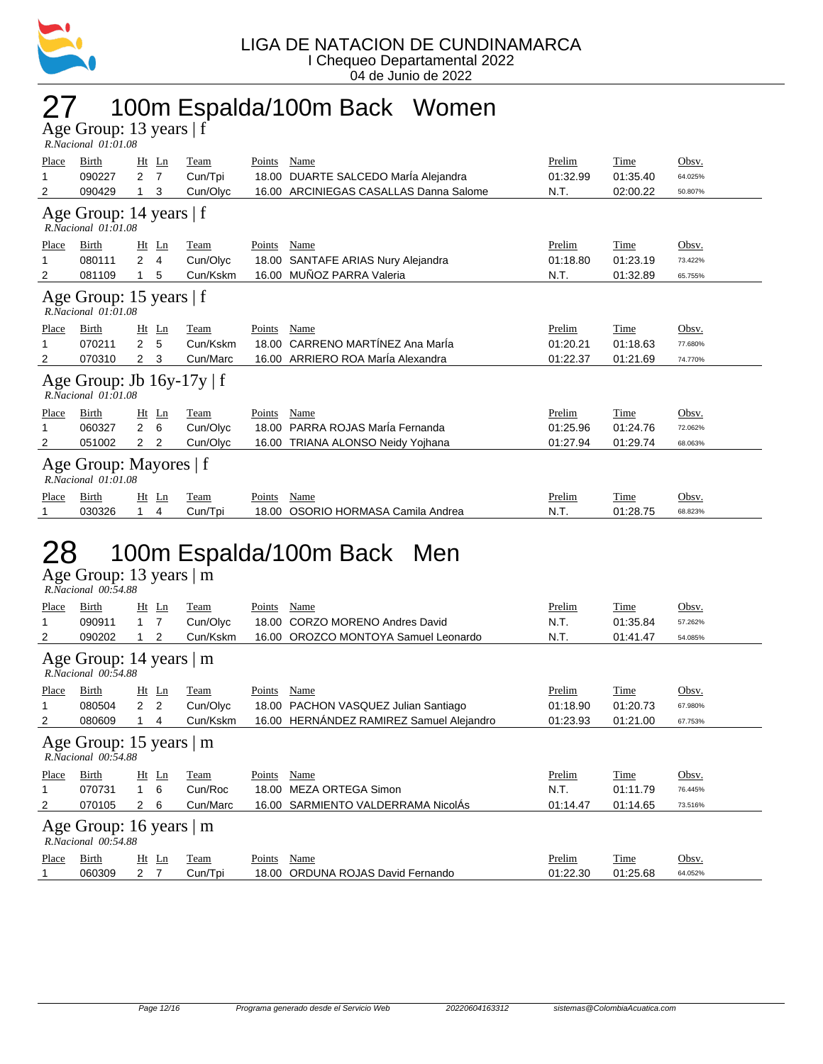

## 27 100m Espalda/100m Back Women

| Age Group: 13 years $ f $ |  |
|---------------------------|--|
| $R. Nacional$ $01:01.08$  |  |

| Place                                               | Birth                                                      | Ht             | Ln    | Team     | Points        | Name                                   | Prelim   | Time     | Obsv.   |  |  |  |
|-----------------------------------------------------|------------------------------------------------------------|----------------|-------|----------|---------------|----------------------------------------|----------|----------|---------|--|--|--|
|                                                     | 090227                                                     | 2              | 7     | Cun/Tpi  | 18.00         | DUARTE SALCEDO María Alejandra         | 01:32.99 | 01:35.40 | 64.025% |  |  |  |
| 2                                                   | 090429                                                     |                | 3     | Cun/Olyc |               | 16.00 ARCINIEGAS CASALLAS Danna Salome | N.T.     | 02:00.22 | 50.807% |  |  |  |
|                                                     | Age Group: 14 years   f<br>$R. Nacional$ $01:01.08$        |                |       |          |               |                                        |          |          |         |  |  |  |
| Place                                               | Birth                                                      |                | Ht Ln | Team     | Points        | Name                                   | Prelim   | Time     | Obsv.   |  |  |  |
|                                                     | 080111                                                     | $\overline{2}$ | 4     | Cun/Olyc | 18.00         | SANTAFE ARIAS Nury Alejandra           | 01:18.80 | 01:23.19 | 73.422% |  |  |  |
| 2                                                   | 081109                                                     |                | 5     | Cun/Kskm | 16.00         | MUÑOZ PARRA Valeria                    | N.T.     | 01:32.89 | 65.755% |  |  |  |
| Age Group: 15 years   f<br>$R. Nacional$ $01:01.08$ |                                                            |                |       |          |               |                                        |          |          |         |  |  |  |
| Place                                               | Birth                                                      | Ht             | Ln    | Team     | Points        | Name                                   | Prelim   | Time     | Obsv.   |  |  |  |
|                                                     | 070211                                                     | $\overline{2}$ | 5     | Cun/Kskm | 18.00         | CARRENO MARTÍNEZ Ana María             | 01:20.21 | 01:18.63 | 77.680% |  |  |  |
| 2                                                   | 070310                                                     | $\mathbf{2}$   | 3     | Cun/Marc |               | 16.00 ARRIERO ROA María Alexandra      | 01:22.37 | 01:21.69 | 74.770% |  |  |  |
|                                                     | Age Group: Jb $16y-17y \mid f$<br>$R. Nacional$ $01:01.08$ |                |       |          |               |                                        |          |          |         |  |  |  |
| <b>Place</b>                                        | Birth                                                      | Ht             | Ln    | Team     | <b>Points</b> | Name                                   | Prelim   | Time     | Obsv.   |  |  |  |
|                                                     | 060327                                                     | 2              | 6     | Cun/Olyc | 18.00         | PARRA ROJAS MarÍa Fernanda             | 01:25.96 | 01:24.76 | 72.062% |  |  |  |
| 2                                                   | 051002                                                     | 2              | 2     | Cun/Olyc |               | 16.00 TRIANA ALONSO Neidy Yojhana      | 01:27.94 | 01:29.74 | 68.063% |  |  |  |
|                                                     | Age Group: Mayores   f<br>$R. Nacional$ $01:01.08$         |                |       |          |               |                                        |          |          |         |  |  |  |
| Place                                               | Birth                                                      | Ht             | Ln    | Team     | Points        | Name                                   | Prelim   | Time     | Obsv.   |  |  |  |
|                                                     | 030326                                                     |                | 4     | Cun/Tpi  | 18.00         | OSORIO HORMASA Camila Andrea           | N.T.     | 01:28.75 | 68.823% |  |  |  |

#### 28 100m Espalda/100m Back Men

|                                                  | R.Nacional 00:54.88                            |                |             |        |                                          |          |          |          |  |  |  |  |
|--------------------------------------------------|------------------------------------------------|----------------|-------------|--------|------------------------------------------|----------|----------|----------|--|--|--|--|
| Place                                            | Birth                                          | $Ht$ Ln        | Team        | Points | Name                                     | Prelim   | Time     | Obsv.    |  |  |  |  |
|                                                  | 090911                                         | $1 \quad 7$    | Cun/Olyc    | 18.00  | <b>CORZO MORENO Andres David</b>         | N.T.     | 01:35.84 | 57.262%  |  |  |  |  |
| 2                                                | 090202                                         | 2              | Cun/Kskm    |        | 16.00 OROZCO MONTOYA Samuel Leonardo     | N.T.     | 01:41.47 | 54.085%  |  |  |  |  |
| Age Group: 14 years   m<br>R.Nacional 00:54.88   |                                                |                |             |        |                                          |          |          |          |  |  |  |  |
| Place                                            | Birth                                          | $Ht$ Ln        | Team        | Points | Name                                     | Prelim   | Time     | Obsv.    |  |  |  |  |
|                                                  | 080504                                         | 2 <sub>2</sub> | Cun/Olyc    | 18.00  | PACHON VASQUEZ Julian Santiago           | 01:18.90 | 01:20.73 | 67.980%  |  |  |  |  |
| 2                                                | 080609                                         | 4              | Cun/Kskm    |        | 16.00 HERNÁNDEZ RAMIREZ Samuel Alejandro | 01:23.93 | 01:21.00 | 67.753%  |  |  |  |  |
| Age Group: 15 years $ m $<br>R.Nacional 00:54.88 |                                                |                |             |        |                                          |          |          |          |  |  |  |  |
| <b>Place</b>                                     | Birth                                          | $Ht$ Ln        | <b>Team</b> | Points | Name                                     | Prelim   | Time     | Obsv.    |  |  |  |  |
|                                                  | 070731                                         | 1 6            | Cun/Roc     | 18.00  | MEZA ORTEGA Simon                        | N.T.     | 01:11.79 | 76.445%  |  |  |  |  |
| 2                                                | 070105                                         | 2<br>6         | Cun/Marc    |        | 16.00 SARMIENTO VALDERRAMA NicolAs       | 01:14.47 | 01:14.65 | 73.516%  |  |  |  |  |
|                                                  | Age Group: 16 years   m<br>R.Nacional 00:54.88 |                |             |        |                                          |          |          |          |  |  |  |  |
| Place                                            | Birth                                          | $Ht$ Ln        | Team        | Points | Name                                     | Prelim   | Time     | $Obsv$ . |  |  |  |  |
|                                                  | 060309                                         | 7<br>2         | Cun/Tpi     | 18.00  | ORDUNA ROJAS David Fernando              | 01:22.30 | 01:25.68 | 64.052%  |  |  |  |  |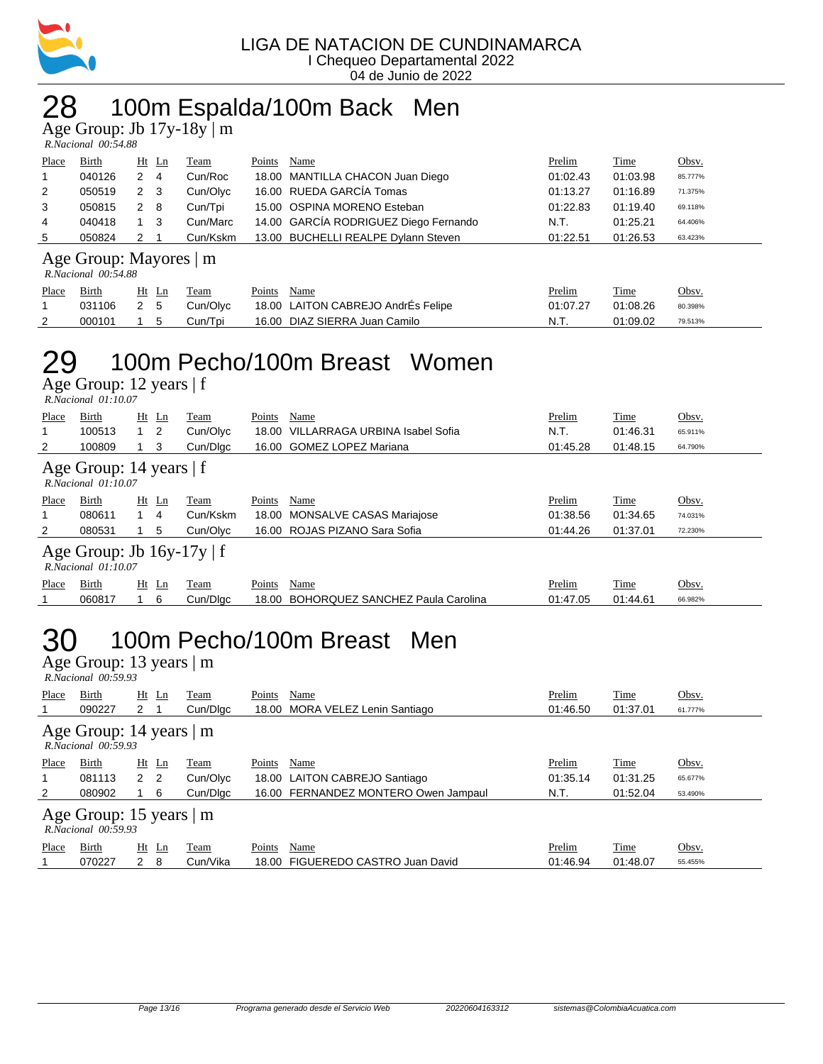

## 28 100m Espalda/100m Back Men

Age Group: Jb 17y-18y | m

| R.Nacional 00:54.88 |  |
|---------------------|--|

| Place          | <b>Birth</b> | $Ht$ Ln |     | Team     | Points | Name                                  | Prelim   | Time     | Obsv.   |
|----------------|--------------|---------|-----|----------|--------|---------------------------------------|----------|----------|---------|
|                | 040126       | 2       | -4  | Cun/Roc  |        | 18.00 MANTILLA CHACON Juan Diego      | 01:02.43 | 01:03.98 | 85.777% |
| 2              | 050519       | 2 3     |     | Cun/Olyc |        | 16.00 RUEDA GARCÍA Tomas              | 01:13.27 | 01:16.89 | 71.375% |
| 3              | 050815       | 2       | - 8 | Cun/Tpi  |        | 15.00 OSPINA MORENO Esteban           | 01:22.83 | 01:19.40 | 69.118% |
| $\overline{4}$ | 040418       |         | - 3 | Cun/Marc |        | 14.00 GARCÍA RODRIGUEZ Diego Fernando | N.T.     | 01:25.21 | 64.406% |
| 5              | 050824       |         |     | Cun/Kskm |        | 13.00 BUCHELLI REALPE Dylann Steven   | 01:22.51 | 01:26.53 | 63.423% |

#### Age Group: Mayores | m

 *R.Nacional 00:54.88* 

| Place | <b>Birth</b> | Ht Ln | Team     | Name<br>Points                     | <u>Prelim</u> | <b>Time</b> | Obsv.   |
|-------|--------------|-------|----------|------------------------------------|---------------|-------------|---------|
|       | 031106 2 5   |       | Cun/Olvc | 18.00 LAITON CABREJO AndrÉs Felipe | 01:07.27      | 01:08.26    | 80.398% |
|       | 000101       | 1 5   | Cun/Tpi  | 16.00 DIAZ SIERRA Juan Camilo      | N.T.          | 01:09.02    | 79.513% |

#### 29 100m Pecho/100m Breast Women

Age Group: 12 years | f

|                                                       | $R. Nacional$ $01:10.07$ |            |       |          |        |                                |          |          |         |  |  |  |  |
|-------------------------------------------------------|--------------------------|------------|-------|----------|--------|--------------------------------|----------|----------|---------|--|--|--|--|
| Place                                                 | Birth                    | Ht         | Ln    | Team     | Points | Name                           | Prelim   | Time     | Obsv.   |  |  |  |  |
|                                                       | 100513                   | $1\quad 2$ |       | Cun/Olyc | 18.00  | VILLARRAGA URBINA Isabel Sofia | N.T.     | 01:46.31 | 65.911% |  |  |  |  |
| 2                                                     | 100809                   |            | 3     | Cun/Dlac |        | 16.00 GOMEZ LOPEZ Mariana      | 01:45.28 | 01:48.15 | 64.790% |  |  |  |  |
| Age Group: 14 years $ f $<br>$R. Nacional$ $01:10.07$ |                          |            |       |          |        |                                |          |          |         |  |  |  |  |
| Place                                                 | Birth                    |            | Ht Ln | Team     | Points | Name                           | Prelim   | Time     | Obsv.   |  |  |  |  |
|                                                       | 080611                   |            | 4     | Cun/Kskm |        | 18.00 MONSALVE CASAS Mariajose | 01:38.56 | 01:34.65 | 74.031% |  |  |  |  |
| $\overline{2}$                                        | 080531                   |            | 5     | Cun/Olvc |        | 16.00 ROJAS PIZANO Sara Sofia  | 01:44.26 | 01:37.01 | 72.230% |  |  |  |  |
| Age Group: Jb $16y-17y \mid f$<br>R.Nacional 01:10.07 |                          |            |       |          |        |                                |          |          |         |  |  |  |  |
|                                                       |                          |            |       |          |        |                                |          |          |         |  |  |  |  |

## 060817 1 6 Cun/Dlgc 18.00 BOHORQUEZ SANCHEZ Paula Carolina 01:47.05 01:44.61 66.982%

#### 30 100m Pecho/100m Breast Men

| Age Group: 13 years $ m$<br>R.Nacional 00:59.93 |                                                      |                |         |          |        |                                      |          |          |         |  |  |  |
|-------------------------------------------------|------------------------------------------------------|----------------|---------|----------|--------|--------------------------------------|----------|----------|---------|--|--|--|
| Place                                           | Birth                                                |                | $Ht$ Ln | Team     | Points | Name                                 | Prelim   | Time     | Obsv.   |  |  |  |
|                                                 | 090227                                               | $2 \quad 1$    |         | Cun/Dlgc |        | 18.00 MORA VELEZ Lenin Santiago      | 01:46.50 | 01:37.01 | 61.777% |  |  |  |
| Age Group: 14 years   m<br>R.Nacional 00:59.93  |                                                      |                |         |          |        |                                      |          |          |         |  |  |  |
| Place                                           | Birth                                                | $Ht$ Ln        |         | Team     | Points | Name                                 | Prelim   | Time     | Obsv.   |  |  |  |
|                                                 | 081113                                               | 2 <sub>2</sub> |         | Cun/Olyc |        | 18.00 LAITON CABREJO Santiago        | 01:35.14 | 01:31.25 | 65.677% |  |  |  |
| 2                                               | 080902                                               |                | 6       | Cun/Dlgc |        | 16.00 FERNANDEZ MONTERO Owen Jampaul | N.T.     | 01:52.04 | 53.490% |  |  |  |
|                                                 | Age Group: 15 years $\vert$ m<br>R.Nacional 00:59.93 |                |         |          |        |                                      |          |          |         |  |  |  |
| Place                                           | Birth                                                |                | Ht Ln   | Team     | Points | Name                                 | Prelim   | Time     | Obsv.   |  |  |  |
|                                                 | 070227                                               | 2              | -8      | Cun/Vika |        | 18.00 FIGUEREDO CASTRO Juan David    | 01:46.94 | 01:48.07 | 55.455% |  |  |  |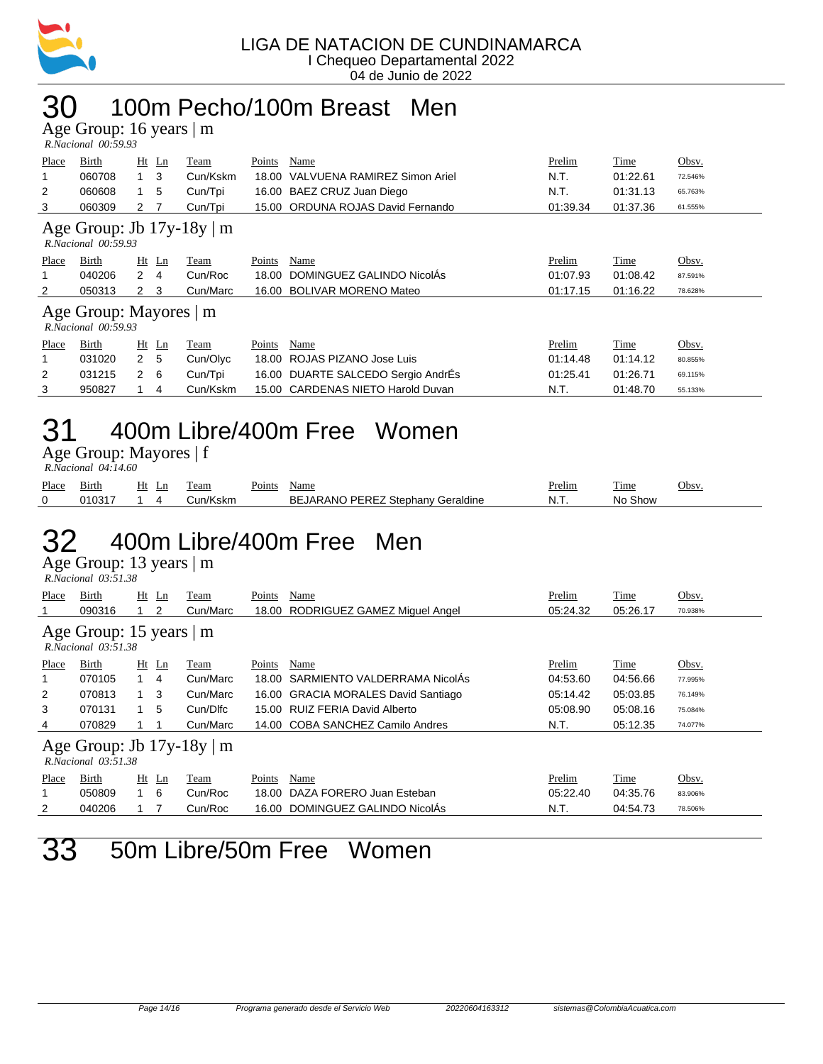

#### 30 100m Pecho/100m Breast Men

Age Group: 16 years | m

| - -                 |  |
|---------------------|--|
| R.Nacional 00:59.93 |  |

| Place                                                      | Birth                                              | Ht Ln       | Team     | Points | Name                              | Prelim   | Time     | Obsv.   |  |  |  |
|------------------------------------------------------------|----------------------------------------------------|-------------|----------|--------|-----------------------------------|----------|----------|---------|--|--|--|
|                                                            | 060708                                             | 3           | Cun/Kskm | 18.00  | VALVUENA RAMIREZ Simon Ariel      | N.T.     | 01:22.61 | 72.546% |  |  |  |
| 2                                                          | 060608                                             | 5           | Cun/Tpi  |        | 16.00 BAEZ CRUZ Juan Diego        | N.T.     | 01:31.13 | 65.763% |  |  |  |
| 3                                                          | 060309                                             | 2 7         | Cun/Tpi  |        | 15.00 ORDUNA ROJAS David Fernando | 01:39.34 | 01:37.36 | 61.555% |  |  |  |
| Age Group: Jb $17y-18y \mid m$<br>$R. Nacional$ $00:59.93$ |                                                    |             |          |        |                                   |          |          |         |  |  |  |
| Place                                                      | Birth                                              | Ht Ln       | Team     | Points | Name                              | Prelim   | Time     | Obsv.   |  |  |  |
|                                                            |                                                    |             |          |        |                                   |          |          |         |  |  |  |
|                                                            | 040206                                             | $2 \quad 4$ | Cun/Roc  |        | 18.00 DOMINGUEZ GALINDO NicolÁs   | 01:07.93 | 01:08.42 | 87.591% |  |  |  |
| 2                                                          | 050313                                             | $2 \quad 3$ | Cun/Marc |        | 16.00 BOLIVAR MORENO Mateo        | 01:17.15 | 01:16.22 | 78.628% |  |  |  |
|                                                            | Age Group: Mayores   m<br>$R. Nacional$ $00:59.93$ |             |          |        |                                   |          |          |         |  |  |  |

| 1 iacc | <b>DILUI</b> |     | 11t Lil | 1 Can    | г оннэ | 1 vanie                                    |          | <b>THILL</b> | $\overline{\mathsf{U}}$ |
|--------|--------------|-----|---------|----------|--------|--------------------------------------------|----------|--------------|-------------------------|
|        | 031020       | 2 5 |         | Cun/Olvc |        | 18.00 ROJAS PIZANO Jose Luis               | 01:14.48 | 01:14.12     | 80.855%                 |
|        | 031215 2 6   |     |         |          |        | Cun/Tpi 16.00 DUARTE SALCEDO Sergio AndrÉs | 01:25.41 | 01:26.71     | 69.115%                 |
|        | 950827       |     |         | Cun/Kskm |        | 15.00 CARDENAS NIETO Harold Duvan          | - N.T.   | 01:48.70     | 55.133%                 |

## 31 400m Libre/400m Free Women

Age Group: Mayores | f

| $R. Nacional$ 04:14.60 |            |  |       |          |             |                                   |  |        |         |       |  |
|------------------------|------------|--|-------|----------|-------------|-----------------------------------|--|--------|---------|-------|--|
| Place                  | Birth      |  | Ht Ln | Team     | Points Name |                                   |  | Prelim | Time    | Obsv. |  |
|                        | 010317 1 4 |  |       | Cun/Kskm |             | BEJARANO PEREZ Stephany Geraldine |  | N.T.   | No Show |       |  |

## 32 400m Libre/400m Free Men

Age Group: 13 years | m  *R.Nacional 03:51.38* 

| Place                                                      | Birth<br>090316 |              | $Ht$ Ln<br>2   | Team<br>Cun/Marc | Points<br>18.00 | Name<br>RODRIGUEZ GAMEZ Miguel Angel | Prelim<br>05:24.32 | Time<br>05:26.17 | Obsv.<br>70.938% |
|------------------------------------------------------------|-----------------|--------------|----------------|------------------|-----------------|--------------------------------------|--------------------|------------------|------------------|
| Age Group: 15 years $\vert$ m<br>$R. Nacional$ $03:51.38$  |                 |              |                |                  |                 |                                      |                    |                  |                  |
| Place                                                      | Birth           |              | $Ht$ Ln        | Team             | Points          | Name                                 | Prelim             | Time             | Obsv.            |
| 1                                                          | 070105          |              | $\overline{4}$ | Cun/Marc         | 18.00           | SARMIENTO VALDERRAMA NicolAs         | 04:53.60           | 04:56.66         | 77.995%          |
| 2                                                          | 070813          | $1 \quad 3$  |                | Cun/Marc         |                 | 16.00 GRACIA MORALES David Santiago  | 05:14.42           | 05:03.85         | 76.149%          |
| 3                                                          | 070131          | $\mathbf{1}$ | 5              | Cun/Dlfc         | 15.00           | RUIZ FERIA David Alberto             | 05:08.90           | 05:08.16         | 75.084%          |
| 4                                                          | 070829          |              |                | Cun/Marc         |                 | 14.00 COBA SANCHEZ Camilo Andres     | N.T.               | 05:12.35         | 74.077%          |
| Age Group: Jb $17y-18y \mid m$<br>$R. Nacional$ $03:51.38$ |                 |              |                |                  |                 |                                      |                    |                  |                  |
| Place                                                      | Birth           |              | $Ht$ Ln        | Team             | Points          | Name                                 | Prelim             | Time             | Obsv.            |
| 1                                                          | 050809          |              | 6              | Cun/Roc          | 18.00           | DAZA FORERO Juan Esteban             | 05:22.40           | 04:35.76         | 83.906%          |
| 2                                                          | 040206          |              |                | Cun/Roc          | 16.00           | DOMINGUEZ GALINDO NicolÁs            | N.T.               | 04:54.73         | 78.506%          |

33 50m Libre/50m Free Women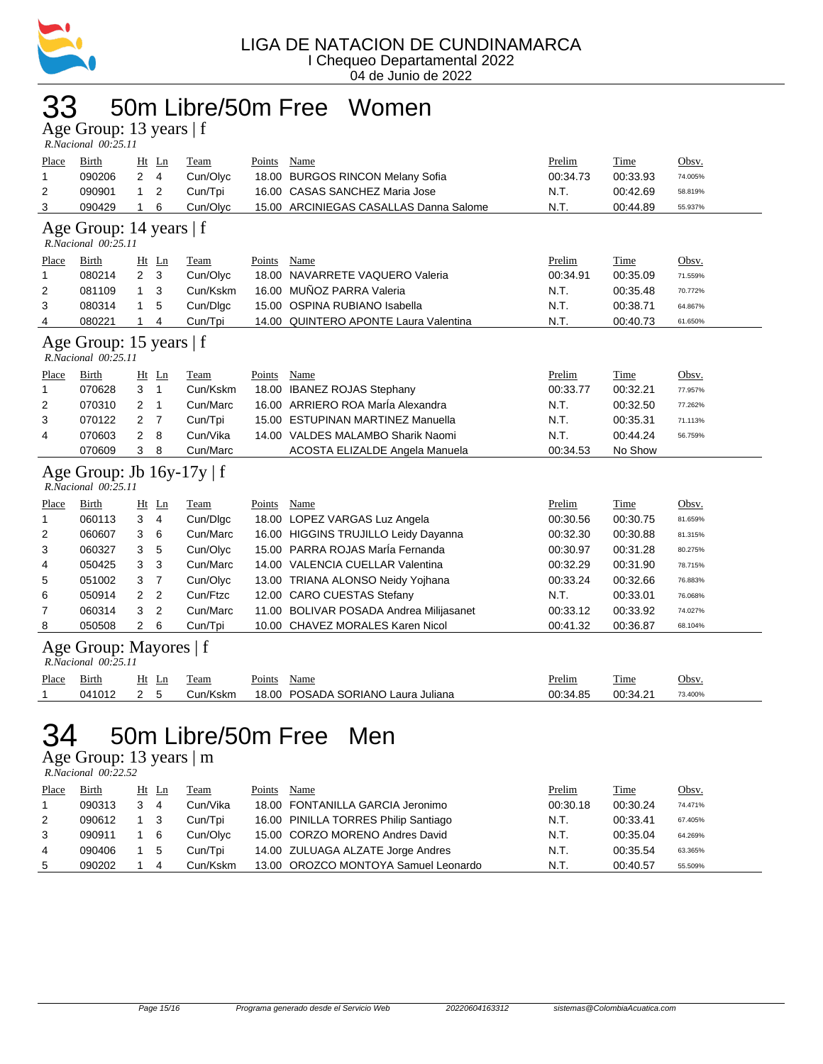

#### 33 50m Libre/50m Free Women

Age Group: 13 years | f  *R.Nacional 00:25.11* 

| Place<br>$\mathbf{1}$<br>$\overline{2}$<br>3        | Birth<br>090206<br>090901<br>090429                      | $\overline{2}$<br>$\mathbf{1}$<br>$\mathbf{1}$ | $Ht$ Ln<br>$\overline{4}$<br>$\overline{2}$<br>6 | Team<br>Cun/Olyc<br>Cun/Tpi<br>Cun/Olyc | <b>Points</b><br>16.00 | Name<br>18.00 BURGOS RINCON Melany Sofia<br><b>CASAS SANCHEZ Maria Jose</b><br>15.00 ARCINIEGAS CASALLAS Danna Salome | Prelim<br>00:34.73<br>N.T.<br>N.T. | Time<br>00:33.93<br>00:42.69<br>00:44.89 | Obsv.<br>74.005%<br>58.819%<br>55.937% |  |  |
|-----------------------------------------------------|----------------------------------------------------------|------------------------------------------------|--------------------------------------------------|-----------------------------------------|------------------------|-----------------------------------------------------------------------------------------------------------------------|------------------------------------|------------------------------------------|----------------------------------------|--|--|
| Age Group: 14 years   f<br>R.Nacional 00:25.11      |                                                          |                                                |                                                  |                                         |                        |                                                                                                                       |                                    |                                          |                                        |  |  |
| Place                                               | Birth                                                    |                                                | $Ht$ Ln                                          | Team                                    | Points                 | Name                                                                                                                  | Prelim                             | Time                                     | Obsv.                                  |  |  |
| $\mathbf{1}$                                        | 080214                                                   | $\overline{2}$                                 | 3                                                | Cun/Olyc                                | 18.00                  | NAVARRETE VAQUERO Valeria                                                                                             | 00:34.91                           | 00:35.09                                 | 71.559%                                |  |  |
| 2                                                   | 081109                                                   | 1                                              | 3                                                | Cun/Kskm                                | 16.00                  | MUÑOZ PARRA Valeria                                                                                                   | N.T.                               | 00:35.48                                 | 70.772%                                |  |  |
| 3                                                   | 080314                                                   | 1                                              | 5                                                | Cun/Dlgc                                | 15.00                  | OSPINA RUBIANO Isabella                                                                                               | N.T.                               | 00:38.71                                 | 64.867%                                |  |  |
| 4                                                   | 080221                                                   | 1                                              | 4                                                | Cun/Tpi                                 |                        | 14.00 QUINTERO APONTE Laura Valentina                                                                                 | N.T.                               | 00:40.73                                 | 61.650%                                |  |  |
| Age Group: 15 years   f<br>$R. Nacional$ $00:25.11$ |                                                          |                                                |                                                  |                                         |                        |                                                                                                                       |                                    |                                          |                                        |  |  |
| Place                                               | <b>Birth</b>                                             |                                                | $Ht$ Ln                                          | Team                                    | Points                 | Name                                                                                                                  | Prelim                             | Time                                     | Obsv.                                  |  |  |
| $\mathbf{1}$                                        | 070628                                                   | 3                                              | $\mathbf{1}$                                     | Cun/Kskm                                |                        | 18.00 IBANEZ ROJAS Stephany                                                                                           | 00:33.77                           | 00:32.21                                 | 77.957%                                |  |  |
| 2                                                   | 070310                                                   | 2                                              | $\mathbf{1}$                                     | Cun/Marc                                |                        | 16.00 ARRIERO ROA MarÍa Alexandra                                                                                     | N.T.                               | 00:32.50                                 | 77.262%                                |  |  |
| 3                                                   | 070122                                                   | 2                                              | $\overline{7}$                                   | Cun/Tpi                                 |                        | 15.00 ESTUPINAN MARTINEZ Manuella                                                                                     | N.T.                               | 00:35.31                                 | 71.113%                                |  |  |
| 4                                                   | 070603                                                   | 2                                              | 8                                                | Cun/Vika                                |                        | 14.00 VALDES MALAMBO Sharik Naomi                                                                                     | N.T.                               | 00:44.24                                 | 56.759%                                |  |  |
|                                                     | 070609                                                   | 3                                              | 8                                                | Cun/Marc                                |                        | ACOSTA ELIZALDE Angela Manuela                                                                                        | 00:34.53                           | No Show                                  |                                        |  |  |
|                                                     | Age Group: Jb $16y-17y \mid f$<br>$R. Nacional$ 00:25.11 |                                                |                                                  |                                         |                        |                                                                                                                       |                                    |                                          |                                        |  |  |
| Place                                               | Birth                                                    |                                                | Ht Ln                                            | Team                                    | Points                 | Name                                                                                                                  | Prelim                             | Time                                     | Obsv.                                  |  |  |
| $\mathbf{1}$                                        | 060113                                                   | 3                                              | $\overline{4}$                                   | Cun/Dlgc                                |                        | 18.00 LOPEZ VARGAS Luz Angela                                                                                         | 00:30.56                           | 00:30.75                                 | 81.659%                                |  |  |
| $\overline{2}$                                      | 060607                                                   | 3                                              | 6                                                | Cun/Marc                                |                        | 16.00 HIGGINS TRUJILLO Leidy Dayanna                                                                                  | 00:32.30                           | 00:30.88                                 | 81.315%                                |  |  |
| 3                                                   | 060327                                                   | 3                                              | 5                                                | Cun/Olyc                                |                        | 15.00 PARRA ROJAS MarÍa Fernanda                                                                                      | 00:30.97                           | 00:31.28                                 | 80.275%                                |  |  |
| 4                                                   | 050425                                                   | 3                                              | 3                                                | Cun/Marc                                |                        | 14.00 VALENCIA CUELLAR Valentina                                                                                      | 00:32.29                           | 00:31.90                                 | 78.715%                                |  |  |
| 5                                                   | 051002                                                   | 3                                              | $\overline{7}$                                   | Cun/Olyc                                |                        | 13.00 TRIANA ALONSO Neidy Yojhana                                                                                     | 00:33.24                           | 00:32.66                                 | 76.883%                                |  |  |
| 6                                                   | 050914                                                   | $\overline{2}$                                 | $\overline{2}$                                   | Cun/Ftzc                                |                        | 12.00 CARO CUESTAS Stefany                                                                                            | N.T.                               | 00:33.01                                 | 76.068%                                |  |  |
| 7                                                   | 060314                                                   | 3                                              | $\overline{2}$                                   | Cun/Marc                                |                        | 11.00 BOLIVAR POSADA Andrea Milijasanet                                                                               | 00:33.12                           | 00:33.92                                 | 74.027%                                |  |  |
| 8                                                   | 050508                                                   | $\overline{2}$                                 | 6                                                | Cun/Tpi                                 |                        | 10.00 CHAVEZ MORALES Karen Nicol                                                                                      | 00:41.32                           | 00:36.87                                 | 68.104%                                |  |  |
|                                                     | Age Group: Mayores   f<br>R.Nacional 00:25.11            |                                                |                                                  |                                         |                        |                                                                                                                       |                                    |                                          |                                        |  |  |
| <b>Place</b>                                        | <b>Birth</b>                                             |                                                | Ht Ln                                            | <b>Team</b>                             | Points                 | <b>Name</b>                                                                                                           | Prelim                             | Time                                     | Obsv.                                  |  |  |
| 1                                                   | 041012                                                   | $\overline{2}$                                 | 5                                                | Cun/Kskm                                | 18.00                  | POSADA SORIANO Laura Juliana                                                                                          | 00:34.85                           | 00:34.21                                 | 73.400%                                |  |  |
|                                                     |                                                          |                                                |                                                  |                                         |                        |                                                                                                                       |                                    |                                          |                                        |  |  |

#### 34 50m Libre/50m Free Men

Age Group: 13 years | m

 *R.Nacional 00:22.52* 

| Place | Birth  |   | Ht Ln | Team     | Points | Name                                 | Prelim   | Time     | Obsv.   |
|-------|--------|---|-------|----------|--------|--------------------------------------|----------|----------|---------|
|       | 090313 | 3 | 4     | Cun/Vika |        | 18.00 FONTANILLA GARCIA Jeronimo     | 00:30.18 | 00:30.24 | 74.471% |
| 2     | 090612 |   |       | Cun/Tpi  |        | 16.00 PINILLA TORRES Philip Santiago | N.T.     | 00:33.41 | 67.405% |
| 3     | 090911 |   | - 6   | Cun/Olyc |        | 15.00 CORZO MORENO Andres David      | N.T.     | 00:35.04 | 64.269% |
| 4     | 090406 |   | -5    | Cun/Tpi  |        | 14.00 ZULUAGA ALZATE Jorge Andres    | N.T.     | 00:35.54 | 63.365% |
| 5     | 090202 |   | 4     | Cun/Kskm |        | 13.00 OROZCO MONTOYA Samuel Leonardo | N.T.     | 00:40.57 | 55.509% |